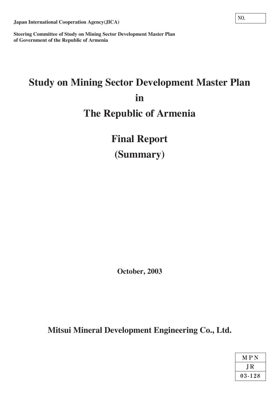**Japan International Cooperation Agency(JICA)**

**Steering Committee of Study on Mining Sector Development Master Plan of Government of the Republic of Armenia**

# **Study on Mining Sector Development Master Plan in The Republic of Armenia**

**Final Report (Summary)**

**October, 2003**

**Mitsui Mineral Development Engineering Co., Ltd.**

| M P N  |  |  |  |  |  |
|--------|--|--|--|--|--|
| J R    |  |  |  |  |  |
| 03-128 |  |  |  |  |  |

**NO.**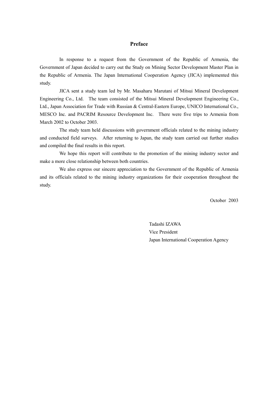# **Preface**

 In response to a request from the Government of the Republic of Armenia, the Government of Japan decided to carry out the Study on Mining Sector Development Master Plan in the Republic of Armenia. The Japan International Cooperation Agency (JICA) implemented this study.

 JICA sent a study team led by Mr. Masaharu Marutani of Mitsui Mineral Development Engineering Co., Ltd. The team consisted of the Mitsui Mineral Development Engineering Co., Ltd., Japan Association for Trade with Russian & Central-Eastern Europe, UNICO International Co., MESCO Inc. and PACRIM Resource Development Inc. There were five trips to Armenia from March 2002 to October 2003.

 The study team held discussions with government officials related to the mining industry and conducted field surveys. After returning to Japan, the study team carried out further studies and compiled the final results in this report.

We hope this report will contribute to the promotion of the mining industry sector and make a more close relationship between both countries.

 We also express our sincere appreciation to the Government of the Republic of Armenia and its officials related to the mining industry organizations for their cooperation throughout the study.

October 2003

 Tadashi IZAWA Vice President Japan International Cooperation Agency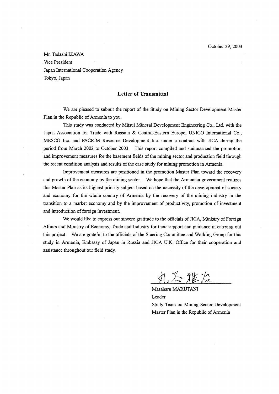Mr. Tadashi IZAWA Vice President Japan International Cooperation Agency Tokyo, Japan

# **Letter of Transmittal**

We are pleased to submit the report of the Study on Mining Sector Development Master Plan in the Republic of Armenia to you.

This study was conducted by Mitsui Mineral Development Engineering Co., Ltd. with the Japan Association for Trade with Russian & Central-Eastern Europe, UNICO International Co., MESCO Inc. and PACRIM Resource Development Inc. under a contract with JICA during the period from March 2002 to October 2003. This report compiled and summarized the promotion and improvement measures for the basement fields of the mining sector and production field through the recent condition analysis and results of the case study for mining promotion in Armenia.

Improvement measures are positioned in the promotion Master Plan toward the recovery and growth of the economy by the mining sector. We hope that the Armenian government realizes this Master Plan as its highest priority subject based on the necessity of the development of society and economy for the whole country of Armenia by the recovery of the mining industry in the transition to a market economy and by the improvement of productivity, promotion of investment and introduction of foreign investment.

We would like to express our sincere gratitude to the officials of JICA, Ministry of Foreign Affairs and Ministry of Economy, Trade and Industry for their support and guidance in carrying out this project. We are grateful to the officials of the Steering Committee and Working Group for this study in Armenia, Embassy of Japan in Russia and JICA U.K. Office for their cooperation and assistance throughout our field study.

丸谷雅流

Masaharu MARUTANI Leader Study Team on Mining Sector Development Master Plan in the Republic of Armenia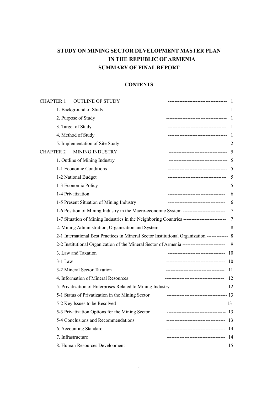# **STUDY ON MINING SECTOR DEVELOPMENT MASTER PLAN IN THE REPUBLIC OF ARMENIA SUMMARY OF FINAL REPORT**

# **CONTENTS**

| <b>OUTLINE OF STUDY</b><br><b>CHAPTER 1</b>                                                     | ----------------------------              |      |
|-------------------------------------------------------------------------------------------------|-------------------------------------------|------|
| 1. Background of Study                                                                          | ----------------------------------        | 1    |
| 2. Purpose of Study                                                                             | -------------------------------------     | -1   |
| 3. Target of Study                                                                              | ------------------------------------      | -1   |
| 4. Method of Study                                                                              | ------------------------------------      |      |
| 5. Implementation of Site Study                                                                 | ------------------------------------      | -2   |
| CHAPTER 2<br><b>MINING INDUSTRY</b>                                                             | ------------------------------------      |      |
| 1. Outline of Mining Industry                                                                   | ------------------------------------      | -5   |
| 1-1 Economic Conditions                                                                         | ------------------------------------      | 5    |
| 1-2 National Budget                                                                             | ------------------------------------      | 5    |
| 1-3 Economic Policy                                                                             | -----------------------------------       | 5    |
| 1-4 Privatization                                                                               | -----------------------------------       | 6    |
| 1-5 Present Situation of Mining Industry                                                        | -----------------------------------       | 6    |
| 1-6 Position of Mining Industry in the Macro-economic System --------------------------         |                                           | 7    |
|                                                                                                 |                                           | 7    |
| 2. Mining Administration, Organization and System                                               | -----------------------------------       | 8    |
| 2-1 International Best Practices in Mineral Sector Institutional Organization ------------- 8   |                                           |      |
| 2-2 Institutional Organization of the Mineral Sector of Armenia ------------------------        |                                           | 9    |
| 3. Law and Taxation                                                                             |                                           | -10  |
| $3-1$ Law                                                                                       | ------------------------------------      | 10   |
| 3-2 Mineral Sector Taxation                                                                     |                                           | 11   |
| 4. Information of Mineral Resources                                                             | ------------------------------------      | 12   |
| 5. Privatization of Enterprises Related to Mining Industry --------------------------------- 12 |                                           |      |
| 5-1 Status of Privatization in the Mining Sector                                                | -------------------------------------- 13 |      |
| 5-2 Key Issues to be Resolved                                                                   |                                           |      |
| 5-3 Privatization Options for the Mining Sector                                                 | ------------------------------------      | -13  |
| 5-4 Conclusions and Recommendations                                                             | -----------------------------------       | -13  |
| 6. Accounting Standard                                                                          | -----------------------------------       | - 14 |
| 7. Infrastructure                                                                               |                                           |      |
| 8. Human Resources Development                                                                  |                                           |      |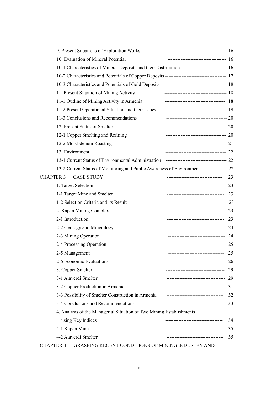|                                                                                                                                                                                                                                                                                                                                                                                                                                                                                                                                                                                                                                                                                                                                                                                                                                                                                                                                                                                                                                                                                                                                                                                                                                                                                                                                                                                                                    | 9. Present Situations of Exploration Works                                                                                                                                                                                                                                                                                                                                                                                                                                                         |  |    |
|--------------------------------------------------------------------------------------------------------------------------------------------------------------------------------------------------------------------------------------------------------------------------------------------------------------------------------------------------------------------------------------------------------------------------------------------------------------------------------------------------------------------------------------------------------------------------------------------------------------------------------------------------------------------------------------------------------------------------------------------------------------------------------------------------------------------------------------------------------------------------------------------------------------------------------------------------------------------------------------------------------------------------------------------------------------------------------------------------------------------------------------------------------------------------------------------------------------------------------------------------------------------------------------------------------------------------------------------------------------------------------------------------------------------|----------------------------------------------------------------------------------------------------------------------------------------------------------------------------------------------------------------------------------------------------------------------------------------------------------------------------------------------------------------------------------------------------------------------------------------------------------------------------------------------------|--|----|
|                                                                                                                                                                                                                                                                                                                                                                                                                                                                                                                                                                                                                                                                                                                                                                                                                                                                                                                                                                                                                                                                                                                                                                                                                                                                                                                                                                                                                    | 10. Evaluation of Mineral Potential                                                                                                                                                                                                                                                                                                                                                                                                                                                                |  |    |
|                                                                                                                                                                                                                                                                                                                                                                                                                                                                                                                                                                                                                                                                                                                                                                                                                                                                                                                                                                                                                                                                                                                                                                                                                                                                                                                                                                                                                    |                                                                                                                                                                                                                                                                                                                                                                                                                                                                                                    |  |    |
| 11. Present Situation of Mining Activity<br>11-1 Outline of Mining Activity in Armenia<br>11-2 Present Operational Situation and their Issues<br>11-3 Conclusions and Recommendations<br>12. Present Status of Smelter<br>12-1 Copper Smelting and Refining<br>12-2 Molybdenum Roasting<br>13. Environment<br><b>CASE STUDY</b><br>----------------------------------<br>CHAPTER 3<br>1. Target Selection<br>----------------------------------<br>1-1 Target Mine and Smelter<br>-----------------------------------<br>1-2 Selection Criteria and its Result<br>----------------------------------<br>2. Kapan Mining Complex<br>----------------------------------<br>2-1 Introduction<br>2-2 Geology and Mineralogy<br>2-3 Mining Operation<br>2-4 Processing Operation<br>2-5 Management<br>2-6 Economic Evaluations<br>---------------------------<br>3. Copper Smelter<br>------------------------------------<br>3-1 Alaverdi Smelter<br>3-2 Copper Production in Armenia<br>-----------------------------------<br>3-3 Possibility of Smelter Construction in Armenia<br>-----------------------------------<br>3-4 Conclusions and Recommendations<br>------------------------------------<br>4. Analysis of the Managerial Situation of Two Mining Establishments<br>using Key Indices<br>--------------------------------<br>4-1 Kapan Mine<br>4-2 Alaverdi Smelter<br>------------------------------- |                                                                                                                                                                                                                                                                                                                                                                                                                                                                                                    |  |    |
|                                                                                                                                                                                                                                                                                                                                                                                                                                                                                                                                                                                                                                                                                                                                                                                                                                                                                                                                                                                                                                                                                                                                                                                                                                                                                                                                                                                                                    | -------------------------------------- 18<br>-------------------------------------- 20<br>-------------------------------------- 20<br>-------------------------------------- 21<br>------------------------------------- 22<br>13-2 Current Status of Monitoring and Public Awareness of Environment---------------- 22<br>------------------------------------ 23<br>----------------------------------- 24<br>----------------------------------- 24<br>------------------------------------ 25 |  |    |
|                                                                                                                                                                                                                                                                                                                                                                                                                                                                                                                                                                                                                                                                                                                                                                                                                                                                                                                                                                                                                                                                                                                                                                                                                                                                                                                                                                                                                    |                                                                                                                                                                                                                                                                                                                                                                                                                                                                                                    |  |    |
|                                                                                                                                                                                                                                                                                                                                                                                                                                                                                                                                                                                                                                                                                                                                                                                                                                                                                                                                                                                                                                                                                                                                                                                                                                                                                                                                                                                                                    |                                                                                                                                                                                                                                                                                                                                                                                                                                                                                                    |  |    |
|                                                                                                                                                                                                                                                                                                                                                                                                                                                                                                                                                                                                                                                                                                                                                                                                                                                                                                                                                                                                                                                                                                                                                                                                                                                                                                                                                                                                                    |                                                                                                                                                                                                                                                                                                                                                                                                                                                                                                    |  |    |
|                                                                                                                                                                                                                                                                                                                                                                                                                                                                                                                                                                                                                                                                                                                                                                                                                                                                                                                                                                                                                                                                                                                                                                                                                                                                                                                                                                                                                    |                                                                                                                                                                                                                                                                                                                                                                                                                                                                                                    |  |    |
|                                                                                                                                                                                                                                                                                                                                                                                                                                                                                                                                                                                                                                                                                                                                                                                                                                                                                                                                                                                                                                                                                                                                                                                                                                                                                                                                                                                                                    |                                                                                                                                                                                                                                                                                                                                                                                                                                                                                                    |  |    |
|                                                                                                                                                                                                                                                                                                                                                                                                                                                                                                                                                                                                                                                                                                                                                                                                                                                                                                                                                                                                                                                                                                                                                                                                                                                                                                                                                                                                                    |                                                                                                                                                                                                                                                                                                                                                                                                                                                                                                    |  |    |
|                                                                                                                                                                                                                                                                                                                                                                                                                                                                                                                                                                                                                                                                                                                                                                                                                                                                                                                                                                                                                                                                                                                                                                                                                                                                                                                                                                                                                    |                                                                                                                                                                                                                                                                                                                                                                                                                                                                                                    |  |    |
|                                                                                                                                                                                                                                                                                                                                                                                                                                                                                                                                                                                                                                                                                                                                                                                                                                                                                                                                                                                                                                                                                                                                                                                                                                                                                                                                                                                                                    |                                                                                                                                                                                                                                                                                                                                                                                                                                                                                                    |  |    |
|                                                                                                                                                                                                                                                                                                                                                                                                                                                                                                                                                                                                                                                                                                                                                                                                                                                                                                                                                                                                                                                                                                                                                                                                                                                                                                                                                                                                                    |                                                                                                                                                                                                                                                                                                                                                                                                                                                                                                    |  |    |
|                                                                                                                                                                                                                                                                                                                                                                                                                                                                                                                                                                                                                                                                                                                                                                                                                                                                                                                                                                                                                                                                                                                                                                                                                                                                                                                                                                                                                    |                                                                                                                                                                                                                                                                                                                                                                                                                                                                                                    |  |    |
|                                                                                                                                                                                                                                                                                                                                                                                                                                                                                                                                                                                                                                                                                                                                                                                                                                                                                                                                                                                                                                                                                                                                                                                                                                                                                                                                                                                                                    |                                                                                                                                                                                                                                                                                                                                                                                                                                                                                                    |  | 23 |
|                                                                                                                                                                                                                                                                                                                                                                                                                                                                                                                                                                                                                                                                                                                                                                                                                                                                                                                                                                                                                                                                                                                                                                                                                                                                                                                                                                                                                    |                                                                                                                                                                                                                                                                                                                                                                                                                                                                                                    |  | 23 |
|                                                                                                                                                                                                                                                                                                                                                                                                                                                                                                                                                                                                                                                                                                                                                                                                                                                                                                                                                                                                                                                                                                                                                                                                                                                                                                                                                                                                                    |                                                                                                                                                                                                                                                                                                                                                                                                                                                                                                    |  | 23 |
|                                                                                                                                                                                                                                                                                                                                                                                                                                                                                                                                                                                                                                                                                                                                                                                                                                                                                                                                                                                                                                                                                                                                                                                                                                                                                                                                                                                                                    |                                                                                                                                                                                                                                                                                                                                                                                                                                                                                                    |  | 23 |
|                                                                                                                                                                                                                                                                                                                                                                                                                                                                                                                                                                                                                                                                                                                                                                                                                                                                                                                                                                                                                                                                                                                                                                                                                                                                                                                                                                                                                    |                                                                                                                                                                                                                                                                                                                                                                                                                                                                                                    |  | 23 |
|                                                                                                                                                                                                                                                                                                                                                                                                                                                                                                                                                                                                                                                                                                                                                                                                                                                                                                                                                                                                                                                                                                                                                                                                                                                                                                                                                                                                                    |                                                                                                                                                                                                                                                                                                                                                                                                                                                                                                    |  |    |
|                                                                                                                                                                                                                                                                                                                                                                                                                                                                                                                                                                                                                                                                                                                                                                                                                                                                                                                                                                                                                                                                                                                                                                                                                                                                                                                                                                                                                    |                                                                                                                                                                                                                                                                                                                                                                                                                                                                                                    |  |    |
|                                                                                                                                                                                                                                                                                                                                                                                                                                                                                                                                                                                                                                                                                                                                                                                                                                                                                                                                                                                                                                                                                                                                                                                                                                                                                                                                                                                                                    |                                                                                                                                                                                                                                                                                                                                                                                                                                                                                                    |  |    |
|                                                                                                                                                                                                                                                                                                                                                                                                                                                                                                                                                                                                                                                                                                                                                                                                                                                                                                                                                                                                                                                                                                                                                                                                                                                                                                                                                                                                                    |                                                                                                                                                                                                                                                                                                                                                                                                                                                                                                    |  |    |
|                                                                                                                                                                                                                                                                                                                                                                                                                                                                                                                                                                                                                                                                                                                                                                                                                                                                                                                                                                                                                                                                                                                                                                                                                                                                                                                                                                                                                    |                                                                                                                                                                                                                                                                                                                                                                                                                                                                                                    |  |    |
|                                                                                                                                                                                                                                                                                                                                                                                                                                                                                                                                                                                                                                                                                                                                                                                                                                                                                                                                                                                                                                                                                                                                                                                                                                                                                                                                                                                                                    |                                                                                                                                                                                                                                                                                                                                                                                                                                                                                                    |  | 26 |
|                                                                                                                                                                                                                                                                                                                                                                                                                                                                                                                                                                                                                                                                                                                                                                                                                                                                                                                                                                                                                                                                                                                                                                                                                                                                                                                                                                                                                    |                                                                                                                                                                                                                                                                                                                                                                                                                                                                                                    |  | 29 |
|                                                                                                                                                                                                                                                                                                                                                                                                                                                                                                                                                                                                                                                                                                                                                                                                                                                                                                                                                                                                                                                                                                                                                                                                                                                                                                                                                                                                                    |                                                                                                                                                                                                                                                                                                                                                                                                                                                                                                    |  |    |
|                                                                                                                                                                                                                                                                                                                                                                                                                                                                                                                                                                                                                                                                                                                                                                                                                                                                                                                                                                                                                                                                                                                                                                                                                                                                                                                                                                                                                    |                                                                                                                                                                                                                                                                                                                                                                                                                                                                                                    |  | 31 |
|                                                                                                                                                                                                                                                                                                                                                                                                                                                                                                                                                                                                                                                                                                                                                                                                                                                                                                                                                                                                                                                                                                                                                                                                                                                                                                                                                                                                                    |                                                                                                                                                                                                                                                                                                                                                                                                                                                                                                    |  | 32 |
|                                                                                                                                                                                                                                                                                                                                                                                                                                                                                                                                                                                                                                                                                                                                                                                                                                                                                                                                                                                                                                                                                                                                                                                                                                                                                                                                                                                                                    |                                                                                                                                                                                                                                                                                                                                                                                                                                                                                                    |  | 33 |
|                                                                                                                                                                                                                                                                                                                                                                                                                                                                                                                                                                                                                                                                                                                                                                                                                                                                                                                                                                                                                                                                                                                                                                                                                                                                                                                                                                                                                    |                                                                                                                                                                                                                                                                                                                                                                                                                                                                                                    |  |    |
|                                                                                                                                                                                                                                                                                                                                                                                                                                                                                                                                                                                                                                                                                                                                                                                                                                                                                                                                                                                                                                                                                                                                                                                                                                                                                                                                                                                                                    |                                                                                                                                                                                                                                                                                                                                                                                                                                                                                                    |  | 34 |
|                                                                                                                                                                                                                                                                                                                                                                                                                                                                                                                                                                                                                                                                                                                                                                                                                                                                                                                                                                                                                                                                                                                                                                                                                                                                                                                                                                                                                    |                                                                                                                                                                                                                                                                                                                                                                                                                                                                                                    |  | 35 |
|                                                                                                                                                                                                                                                                                                                                                                                                                                                                                                                                                                                                                                                                                                                                                                                                                                                                                                                                                                                                                                                                                                                                                                                                                                                                                                                                                                                                                    |                                                                                                                                                                                                                                                                                                                                                                                                                                                                                                    |  | 35 |
|                                                                                                                                                                                                                                                                                                                                                                                                                                                                                                                                                                                                                                                                                                                                                                                                                                                                                                                                                                                                                                                                                                                                                                                                                                                                                                                                                                                                                    |                                                                                                                                                                                                                                                                                                                                                                                                                                                                                                    |  |    |

CHAPTER 4 GRASPING RECENT CONDITIONS OF MINING INDUSTRY AND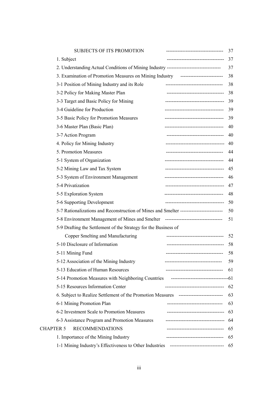| <b>SUBJECTS OF ITS PROMOTION</b>                                                         |                                       | 37 |
|------------------------------------------------------------------------------------------|---------------------------------------|----|
| 1. Subject                                                                               | -----------------------------------   | 37 |
| 2. Understanding Actual Conditions of Mining Industry --------------------------------   |                                       | 37 |
| 3. Examination of Promotion Measures on Mining Industry -------------------------        |                                       | 38 |
| 3-1 Position of Mining Industry and its Role                                             | -----------------------------------   | 38 |
| 3-2 Policy for Making Master Plan                                                        | -----------------------------------   | 38 |
| 3-3 Target and Basic Policy for Mining                                                   | ------------------------------------  | 39 |
| 3-4 Guideline for Production                                                             | ------------------------------------- | 39 |
| 3-5 Basic Policy for Promotion Measures                                                  | ------------------------------------  | 39 |
| 3-6 Master Plan (Basic Plan)                                                             |                                       | 40 |
| 3-7 Action Program                                                                       | ------------------------------------  | 40 |
| 4. Policy for Mining Industry                                                            | ------------------------------------- | 40 |
| 5. Promotion Measures                                                                    | ------------------------------------  | 44 |
| 5-1 System of Organization                                                               | ------------------------------------  | 44 |
| 5-2 Mining Law and Tax System                                                            | ------------------------------------- | 45 |
| 5-3 System of Environment Management                                                     | ------------------------------------  | 46 |
| 5-4 Privatization                                                                        | ------------------------------------- | 47 |
| 5-5 Exploration System                                                                   |                                       | 48 |
| 5-6 Supporting Development                                                               | ------------------------------------  | 50 |
| 5-7 Rationalizations and Reconstruction of Mines and Smelter --------------------------  |                                       | 50 |
| 5-8 Environment Management of Mines and Smelter --------------------------------         |                                       | 51 |
| 5-9 Drafting the Settlement of the Strategy for the Business of                          |                                       |    |
| Copper Smelting and Manufacturing                                                        | -----------------------------------   | 52 |
| 5-10 Disclosure of Information                                                           | ------------------------------------  | 58 |
| 5-11 Mining Fund                                                                         | -----------------------------------   | 58 |
| 5-12 Association of the Mining Industry                                                  |                                       | 59 |
| 5-13 Education of Human Resources                                                        | -----------------------------------   | 61 |
|                                                                                          |                                       |    |
| 5-15 Resources Information Center                                                        | ------------------------------------  | 62 |
| 6. Subject to Realize Settlement of the Promotion Measures --------------------------    |                                       | 63 |
| 6-1 Mining Promotion Plan                                                                | -----------------------------------   | 63 |
| 6-2 Investment Scale to Promotion Measures                                               | -----------------------------------   | 63 |
| 6-3 Assistance Program and Promotion Measures                                            | -----------------------------------   | 64 |
| <b>RECOMMENDATIONS</b><br><b>CHAPTER 5</b>                                               | ----------------------------------    | 65 |
| 1. Importance of the Mining Industry                                                     | -----------------------------------   | 65 |
| 1-1 Mining Industry's Effectiveness to Other Industries -------------------------------- |                                       | 65 |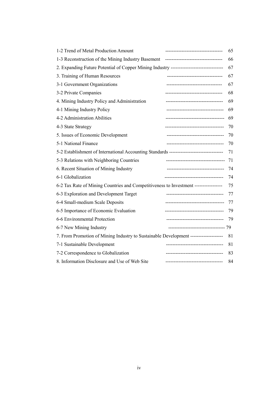| 1-2 Trend of Metal Production Amount                                                    |                                          | 65 |
|-----------------------------------------------------------------------------------------|------------------------------------------|----|
|                                                                                         |                                          | 66 |
| 2. Expanding Future Potential of Copper Mining Industry ------------------------------- |                                          | 67 |
| 3. Training of Human Resources                                                          | -----------------------------------      | 67 |
| 3-1 Government Organizations                                                            | -----------------------------------      | 67 |
| 3-2 Private Companies                                                                   | -----------------------------------      | 68 |
| 4. Mining Industry Policy and Administration                                            | -----------------------------------      | 69 |
| 4-1 Mining Industry Policy                                                              | -----------------------------------      | 69 |
| 4-2 Administration Abilities                                                            | ------------------------------------     | 69 |
| 4-3 State Strategy                                                                      | ------------------------------------     | 70 |
| 5. Issues of Economic Development                                                       | -----------------------------------      | 70 |
| 5-1 National Finance                                                                    | ------------------------------------     | 70 |
| 5-2 Establishment of International Accounting Standards ------------------------------- |                                          | 71 |
| 5-3 Relations with Neighboring Countries                                                | ------------------------------------     | 71 |
| 6. Recent Situation of Mining Industry                                                  | -----------------------------------      | 74 |
| 6-1 Globalization                                                                       | -------------------------------------    | 74 |
| 6-2 Tax Rate of Mining Countries and Competitiveness to Investment -----------------    |                                          | 75 |
| 6-3 Exploration and Development Target                                                  | -----------------------------            | 77 |
| 6-4 Small-medium Scale Deposits                                                         | ------------------------------------     | 77 |
| 6-5 Importance of Economic Evaluation                                                   | -----------------------------------      | 79 |
| 6-6 Environmental Protection                                                            | -----------------------------------      | 79 |
| 6-7 New Mining Industry                                                                 | ------------------------------------- 79 |    |
| 7. From Promotion of Mining Industry to Sustainable Development --------------------    |                                          | 81 |
| 7-1 Sustainable Development                                                             | ---------------------------------        | 81 |
| 7-2 Correspondence to Globalization                                                     | ------------------------------------     | 83 |
| 8. Information Disclosure and Use of Web Site                                           | ------------------------------------     | 84 |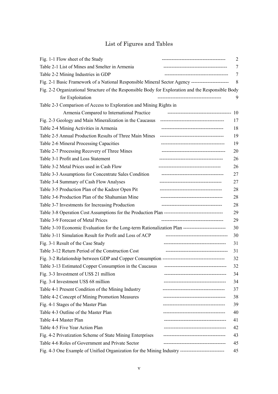# List of Figures and Tables

| Fig. 1-1 Flow sheet of the Study<br>-----------------------------------                             | 2  |
|-----------------------------------------------------------------------------------------------------|----|
| Table 2-1 List of Mines and Smelter in Armenia                                                      | 7  |
| Table 2-2 Mining Industries in GDP                                                                  | 7  |
| Fig. 2-1 Basic Framework of a National Responsible Mineral Sector Agency -------------------------  | 8  |
| Fig. 2-2 Organizational Structure of the Responsible Body for Exploration and the Responsible Body  |    |
| for Exploitation<br>--------------------------------------                                          | 9  |
| Table 2-3 Comparison of Access to Exploration and Mining Rights in                                  |    |
| Armenia Compared to International Practice                                                          | 10 |
| Fig. 2-3 Geology and Main Mineralization in the Caucasus                                            | 17 |
| Table 2-4 Mining Activities in Armenia<br>--------------------------------------                    | 18 |
| Table 2-5 Annual Production Results of Three Main Mines                                             | 19 |
| Table 2-6 Mineral Processing Capacities                                                             | 19 |
| Table 2-7 Processing Recovery of Three Mines                                                        | 20 |
| Table 3-1 Profit and Loss Statement<br>--------------------------------------                       | 26 |
| Table 3-2 Metal Prices used in Cash Flow<br>------------------------------------                    | 26 |
| Table 3-3 Assumptions for Concentrate Sales Condition                                               | 27 |
| Table 3-4 Summary of Cash Flow Analyses                                                             | 27 |
| Table 3-5 Production Plan of the Kadzor Open Pit<br>------------------------------------            | 28 |
| Table 3-6 Production Plan of the Shahumian Mine<br>------------------------------------             | 28 |
| Table 3-7 Investments for Increasing Production<br>--------------------------------------           | 28 |
|                                                                                                     | 29 |
| Table 3-9 Forecast of Metal Prices<br>-------------------------------------                         | 29 |
| Table 3-10 Economic Evaluation for the Long-term Rationalization Plan ----------------------------  | 30 |
| Table 3-11 Simulation Result for Profit and Loss of ACP<br>--------------------------------------   | 30 |
| Fig. 3-1 Result of the Case Study                                                                   | 31 |
| Table 3-12 Return Period of the Construction Cost<br>--------------------------------------         | 31 |
|                                                                                                     | 32 |
| Table 3-13 Estimated Copper Consumption in the Caucasus                                             | 32 |
| Fig. 3-3 Investment of US\$ 21 million<br>-----------------------------                             | 34 |
| Fig. 3-4 Investment US\$ 68 million<br>--------------------------------                             | 34 |
| Table 4-1 Present Condition of the Mining Industry<br>------------------------------------          | 37 |
| Table 4-2 Concept of Mining Promotion Measures                                                      | 38 |
| Fig. 4-1 Stages of the Master Plan<br>-----------------------------------                           | 39 |
| Table 4-3 Outline of the Master Plan<br>                                                            | 40 |
| Table 4-4 Master Plan<br>---------------------------------                                          | 41 |
| Table 4-5 Five Year Action Plan<br>-----------------------------------                              | 42 |
| Fig. 4-2 Privatization Scheme of State Mining Enterprises<br>                                       | 43 |
| Table 4-6 Roles of Government and Private Sector<br>--------------------------------------          | 45 |
| Fig. 4-3 One Example of Unified Organization for the Mining Industry ------------------------------ | 45 |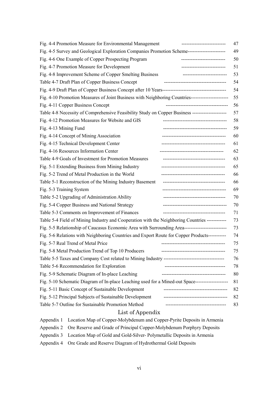| Fig. 4-4 Promotion Measure for Environmental Management<br>47<br>---------------------------             |
|----------------------------------------------------------------------------------------------------------|
| Fig. 4-5 Survey and Geological Exploration Companies Promotion Scheme-----------------------<br>49       |
| Fig. 4-6 One Example of Copper Prospecting Program<br>50<br>---------------------------                  |
| Fig. 4-7 Promotion Measure for Development<br>51<br>---------------------------                          |
| Fig. 4-8 Improvement Scheme of Copper Smelting Business<br>53<br>---------------------------             |
| Table 4-7 Draft Plan of Copper Business Concept<br>-------------------------------------<br>54           |
| 54                                                                                                       |
| Fig. 4-10 Promotion Measures of Joint Business with Neighboring Countries-----------------------<br>55   |
| Fig. 4-11 Copper Business Concept<br>56<br>--------------------------------------                        |
| Table 4-8 Necessity of Comprehensive Feasibility Study on Copper Business ----------------------<br>57   |
| Fig. 4-12 Promotion Measures for Website and GIS<br>58                                                   |
| Fig. 4-13 Mining Fund<br>59                                                                              |
| Fig. 4-14 Concept of Mining Association<br>60                                                            |
| Fig. 4-15 Technical Development Center<br>61                                                             |
| Fig. 4-16 Resources Information Center<br>62                                                             |
| Table 4-9 Goals of Investment for Promotion Measures<br>63<br>--------------------------------------     |
| Fig. 5-1 Extending Business from Mining Industry<br>65                                                   |
| Fig. 5-2 Trend of Metal Production in the World<br>66<br>--------------------------------------          |
| Table 5-1 Reconstruction of the Mining Industry Basement<br>66<br>-------------------------------------- |
| Fig. 5-3 Training System<br>69                                                                           |
| Table 5-2 Upgrading of Administration Ability<br>70<br>--------------------------------------            |
| Fig. 5-4 Copper Business and National Strategy<br>70<br>--------------------------------------           |
| Table 5-3 Comments on Improvement of Finances<br>71<br>--------------------------------------            |
| Table 5-4 Field of Mining Industry and Cooperation with the Neighboring Countries ------------<br>73     |
| Fig. 5-5 Relationship of Caucasus Economic Area with Surrounding Area----------------------------<br>73  |
| Fig. 5-6 Relations with Neighboring Countries and Export Route for Copper Products-----------<br>74      |
| Fig. 5-7 Real Trend of Metal Price<br>75<br>--------------------------------------                       |
| Fig. 5-8 Metal Production Trend of Top 10 Producers<br>75                                                |
| 76                                                                                                       |
| Table 5-6 Recommendation for Exploration<br>----------------------------------<br>78                     |
| Fig. 5-9 Schematic Diagram of In-place Leaching<br>80<br>----------------------------------              |
| Fig. 5-10 Schematic Diagram of In-place Leaching used for a Mined-out Space--------------------<br>81    |
| Fig. 5-11 Basic Concept of Sustainable Development<br>--------------------------------------<br>82       |
| Fig. 5-12 Principal Subjects of Sustainable Development<br>82                                            |
| Table 5-7 Outline for Sustainable Promotion Method<br>--------------------------------------<br>83       |
| List of Appendix                                                                                         |
| Location Map of Copper-Molybdenum and Copper-Pyrite Deposits in Armenia<br>Appendix 1                    |
| Appendix 2<br>Ore Reserve and Grade of Principal Copper-Molybdenum Porphyry Deposits                     |

- Appendix 3 Location Map of Gold and Gold-Silver- Polymetallic Deposits in Armenia
- Appendix 4 Ore Grade and Reserve Diagram of Hydrothermal Gold Deposits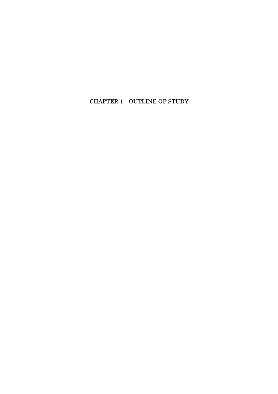# CHAPTER 1 OUTLINE OF STUDY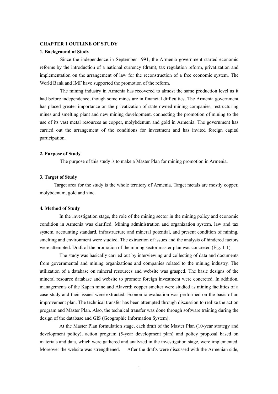# **CHAPTER 1 OUTLINE OF STUDY**

# **1. Background of Study**

Since the independence in September 1991, the Armenia government started economic reforms by the introduction of a national currency (dram), tax regulation reform, privatization and implementation on the arrangement of law for the reconstruction of a free economic system. The World Bank and IMF have supported the promotion of the reform.

The mining industry in Armenia has recovered to almost the same production level as it had before independence, though some mines are in financial difficulties. The Armenia government has placed greater importance on the privatization of state owned mining companies, restructuring mines and smelting plant and new mining development, connecting the promotion of mining to the use of its vast metal resources as copper, molybdenum and gold in Armenia. The government has carried out the arrangement of the conditions for investment and has invited foreign capital participation.

#### **2. Purpose of Study**

The purpose of this study is to make a Master Plan for mining promotion in Armenia.

# **3. Target of Study**

Target area for the study is the whole territory of Armenia. Target metals are mostly copper, molybdenum, gold and zinc.

# **4. Method of Study**

In the investigation stage, the role of the mining sector in the mining policy and economic condition in Armenia was clarified. Mining administration and organization system, law and tax system, accounting standard, infrastructure and mineral potential, and present condition of mining, smelting and environment were studied. The extraction of issues and the analysis of hindered factors were attempted. Draft of the promotion of the mining sector master plan was concreted (Fig. 1-1).

The study was basically carried out by interviewing and collecting of data and documents from governmental and mining organizations and companies related to the mining industry. The utilization of a database on mineral resources and website was grasped. The basic designs of the mineral resource database and website to promote foreign investment were concreted. In addition, managements of the Kapan mine and Alaverdi copper smelter were studied as mining facilities of a case study and their issues were extracted. Economic evaluation was performed on the basis of an improvement plan. The technical transfer has been attempted through discussion to realize the action program and Master Plan. Also, the technical transfer was done through software training during the design of the database and GIS (Geographic Information System).

At the Master Plan formulation stage, each draft of the Master Plan (10-year strategy and development policy), action program (5-year development plan) and policy proposal based on materials and data, which were gathered and analyzed in the investigation stage, were implemented. Moreover the website was strengthened. After the drafts were discussed with the Armenian side,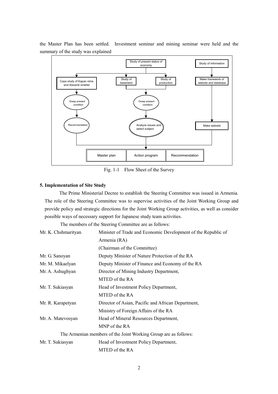

the Master Plan has been settled. Investment seminar and mining seminar were held and the summary of the study was explained

Fig. 1-1 Flow Sheet of the Survey

### **5. Implementation of Site Study**

The Prime Ministerial Decree to establish the Steering Committee was issued in Armenia. The role of the Steering Committee was to supervise activities of the Joint Working Group and provide policy and strategic directions for the Joint Working Group activities, as well as consider possible ways of necessary support for Japanese study team activities.

The members of the Steering Committee are as follows:

| Mr. K. Chshmarityan | Minister of Trade and Economic Development of the Republic of   |
|---------------------|-----------------------------------------------------------------|
|                     | Armenia (RA)                                                    |
|                     | (Chairman of the Committee)                                     |
| Mr. G. Sanoyan      | Deputy Minister of Nature Protection of the RA                  |
| Mr. M. Mikaelyan    | Deputy Minister of Finance and Economy of the RA                |
| Mr. A. Ashughyan    | Director of Mining Industry Department,                         |
|                     | MTED of the RA                                                  |
| Mr. T. Sukiasyan    | Head of Investment Policy Department,                           |
|                     | MTED of the RA                                                  |
| Mr. R. Karapetyan   | Director of Asian, Pacific and African Department,              |
|                     | Ministry of Foreign Affairs of the RA                           |
| Mr. A. Matevosyan   | Head of Mineral Resources Department,                           |
|                     | MNP of the RA                                                   |
|                     | The Armenian members of the Joint Working Group are as follows: |
| Mr. T. Sukiasyan    | Head of Investment Policy Department,                           |
|                     | MTED of the RA                                                  |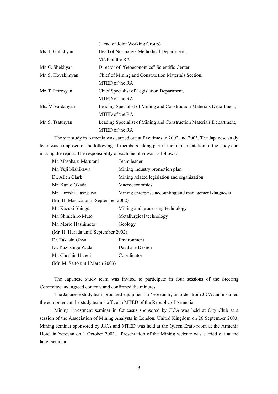|                   | (Head of Joint Working Group)                                       |
|-------------------|---------------------------------------------------------------------|
| Ms. J. Ghlichyan  | Head of Normative Methodical Department,                            |
|                   | MNP of the RA                                                       |
| Mr. G. Shekhyan   | Director of "Geoeconomics" Scientific Center                        |
| Mr. S. Hovakimyan | Chief of Mining and Construction Materials Section,                 |
|                   | MTED of the RA                                                      |
| Mr. T. Petrosyan  | Chief Specialist of Legislation Department,                         |
|                   | MTED of the RA                                                      |
| Ms. M Vardanyan   | Leading Specialist of Mining and Construction Materials Department, |
|                   | MTED of the RA                                                      |
| Mr. S. Tsaturyan  | Leading Specialist of Mining and Construction Materials Department, |
|                   | MTED of the RA                                                      |
|                   |                                                                     |

The site study in Armenia was carried out at five times in 2002 and 2003. The Japanese study team was composed of the following 11 members taking part in the implementation of the study and making the report. The responsibility of each member was as follows:

| Mr. Masaharu Marutani                | Team leader                                           |
|--------------------------------------|-------------------------------------------------------|
| Mr. Yuji Nishikawa                   | Mining industry promotion plan                        |
| Dr. Allen Clark                      | Mining related legislation and organization           |
| Mr. Kunio Okada                      | <b>Macroeconomics</b>                                 |
| Mr. Hiroshi Hasegawa                 | Mining enterprise accounting and management diagnosis |
| (Mr. H. Masuda until September 2002) |                                                       |
| Mr. Kazuki Shingu                    | Mining and processing technology                      |
| Mr. Shinichiro Muto                  | Metallurgical technology                              |
| Mr. Morio Hashimoto                  | Geology                                               |
| (Mr. H. Harada until September 2002) |                                                       |
| Dr. Takashi Ohya                     | Environment                                           |
| Dr. Kazushige Wada                   | Database Design                                       |
| Mr. Choshin Haneji                   | Coordinator                                           |
| (Mr. M. Saito until March 2003)      |                                                       |

The Japanese study team was invited to participate in four sessions of the Steering Committee and agreed contents and confirmed the minutes.

The Japanese study team procured equipment in Yerevan by an order from JICA and installed the equipment at the study team's office in MTED of the Republic of Armenia.

Mining investment seminar in Caucasus sponsored by JICA was held at City Club at a session of the Association of Mining Analysts in London, United Kingdom on 26 September 2003. Mining seminar sponsored by JICA and MTED was held at the Queen Erato room at the Armenia Hotel in Yerevan on 1 October 2003. Presentation of the Mining website was carried out at the latter seminar.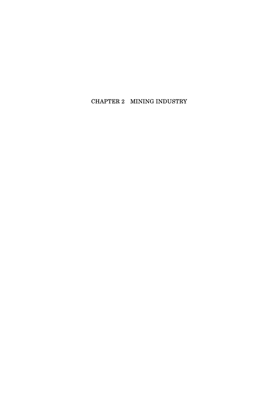# CHAPTER 2 MINING INDUSTRY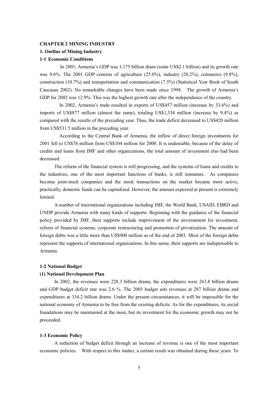# **CHAPTER 2 MINING INDUSTRY**

# **1. Outline of Mining Industry**

# **1-1 Economic Conditions**

In 2001, Armenia's GDP was 1,175 billion dram (some US\$2.1 billion) and its growth rate was 9.6%. The 2001 GDP consists of agriculture (25.0%), industry (20.2%), commerce (9.8%), construction (10.7%) and transportation and communication (7.5%) (Statistical Year Book of South Caucasus 2002). No remarkable changes have been made since 1998. The growth of Armenia's GDP for 2002 was 12.9%. This was the highest growth rate after the independence of the country.

 In 2002, Armenia's trade resulted in exports of US\$457 million (increase by 33.6%) and imports of US\$877 million (almost the same), totaling US\$1,334 million (increase by 9.4%) as compared with the results of the preceding year. Thus, the trade deficit decreased to US\$420 million from US\$531.5 million in the preceding year.

 According to the Central Bank of Armenia, the inflow of direct foreign investments for 2001 fell to US\$76 million from US\$104 million for 2000. It is undeniable, because of the delay of credits and loans from IMF and other organizations, the total amount of investment also had been decreased.

The reform of the financial system is still progressing, and the systems of loans and credits to the industries, one of the most important functions of banks, is still immature. As companies become joint-stock companies and the stock transactions on the market became more active, practically, domestic funds can be capitalized. However, the amount expected at present is extremely limited.

A number of international organizations including IMF, the World Bank, USAID, EBRD and UNDP provide Armenia with many kinds of supports. Beginning with the guidance of the financial policy provided by IMF, their supports include improvement of the environment for investment, reform of financial systems, corporate restructuring and promotion of privatization. The amount of foreign debts was a little more than US\$900 million as of the end of 2001. Most of the foreign debts represent the supports of international organizations. In this sense, their supports are indispensable to Armenia.

#### **1-2 National Budget**

# **(1) National Development Plan**

In 2002, the revenues were 228.3 billion drams, the expenditures were 263.8 billion drams and GDP budget deficit rate was 2.6 %. The 2003 budget sets revenues at 287 billion drams and expenditures at 334.2 billion drams. Under the present circumstances, it will be impossible for the national economy of Armenia to be free from the existing deficits. As for the expenditures, its social foundations may be maintained at the most, but its investment for the economic growth may not be proceeded.

# **1-3 Economic Policy**

A reduction of budget deficit through an increase of revenue is one of the most important economic policies. With respect to this matter, a certain result was obtained during these years. To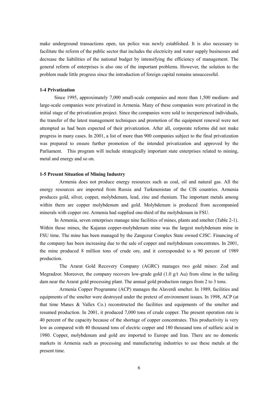make underground transactions open, tax police was newly established. It is also necessary to facilitate the reform of the public sector that includes the electricity and water supply businesses and decrease the liabilities of the national budget by intensifying the efficiency of management. The general reform of enterprises is also one of the important problems. However, the solution to the problem made little progress since the introduction of foreign capital remains unsuccessful.

# **1-4 Privatization**

Since 1995, approximately 7,000 small-scale companies and more than 1,500 medium- and large-scale companies were privatized in Armenia. Many of these companies were privatized in the initial stage of the privatization project. Since the companies were sold to inexperienced individuals, the transfer of the latest management techniques and promotion of the equipment renewal were not attempted as had been expected of their privatization. After all, corporate reforms did not make progress in many cases. In 2001, a list of more than 900 companies subject to the final privatization was prepared to ensure further promotion of the intended privatization and approved by the Parliament. This program will include strategically important state enterprises related to mining, metal and energy and so on.

# **1-5 Present Situation of Mining Industry**

 Armenia does not produce energy resources such as coal, oil and natural gas. All the energy resources are imported from Russia and Turkmenistan of the CIS countries. Armenia produces gold, silver, copper, molybdenum, lead, zinc and rhenium. The important metals among within them are copper molybdenum and gold. Molybdenum is produced from accompanied minerals with copper ore. Armenia had supplied one-third of the molybdenum in FSU.

 In Armenia, seven enterprises manage nine facilities of mines, plants and smelter (Table 2-1). Within those mines, the Kajaran copper-molybdenum mine was the largest molybdenum mine in FSU time. The mine has been managed by the Zangezur Complex State owned CJSC. Financing of the company has been increasing due to the sale of copper and molybdenum concentrates. In 2001, the mine produced 8 million tons of crude ore, and it corresponded to a 90 percent of 1989 production.

 The Ararat Gold Recovery Company (AGRC) manages two gold mines: Zod and Megradzor. Moreover, the company recovers low-grade gold  $(1.0 \text{ g/t}$  Au) from slime in the tailing dam near the Ararat gold processing plant. The annual gold production ranges from 2 to 3 tons.

 Armenia Copper Programme (ACP) manages the Alaverdi smelter. In 1989, facilities and equipments of the smelter were destroyed under the pretext of environment issues. In 1998, ACP (at that time Manes & Vallex Co.) reconstructed the facilities and equipments of the smelter and resumed production. In 2001, it produced 7,000 tons of crude copper. The present operation rate is 40 percent of the capacity because of the shortage of copper concentrates. This productivity is very low as compared with 40 thousand tons of electric copper and 180 thousand tons of sulfuric acid in 1980. Copper, molybdenum and gold are imported to Europe and Iran. There are no domestic markets in Armenia such as processing and manufacturing industries to use these metals at the present time.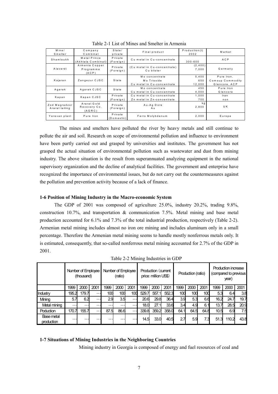| $M$ in $e/$<br>Smelter | Company<br>Combinat    | State/<br>private         | Final product                | Production(t)<br>2002 | Market           |
|------------------------|------------------------|---------------------------|------------------------------|-----------------------|------------------|
|                        |                        |                           |                              |                       |                  |
| Shamloukh              | Metal Prince           | Private                   | Cu metal in Cu-concentrate   |                       | ACP              |
|                        | (Akhtala Combinat)     | $(F \circ \text{reig n})$ |                              | $300 - 600$           |                  |
|                        | Armenia Copper         | Private                   | (Cu metal in Cu-concentrate) | (2, 400)              |                  |
| Alaverdi               | Programme<br>(ACP)     | (Foreign)                 | Cu blister                   | 7,000                 | Germany          |
|                        |                        |                           | Mo concentrate               | 5.400                 | Pure Iron.       |
| Kajaran                | Zangezur CJSC          | State                     | Mo Trioxide                  | 650                   | Comsup Commodity |
|                        |                        |                           | Cu metal in Cu-concentrate   | 12,000                | Glencore, ACP    |
| Agarak                 | Agarak CJSC            | State                     | Mo concentrate               | 450                   | Pure Iron        |
|                        |                        |                           | Cu metal in Cu-concentrate   | 4,000                 | Glencore         |
|                        | Kapan CJSC             | Private                   | Cu metal in Cu-concentrate   | 1.000                 | Iran             |
|                        | Kapan                  |                           | Zn metal in Zn-concentrate   | 700                   | non              |
| Zod Megradzor          | Ararat Gold            | Private                   | Au-Ag Dore                   | k q                   |                  |
| Ararat tailing         | Recovery Co.<br>(AGRC) | (For eign)                | Au                           | 2,800                 | U K              |
| Yerevan plant          | Pure Iron              | Private<br>(Domestic)     | Ferro Molybdenum             | 2,000                 | Europe           |

Table 2-1 List of Mines and Smelter in Armenia

 The mines and smelters have polluted the river by heavy metals and still continue to pollute the air and soil. Research on scope of environmental pollution and influence to environment have been partly carried out and grasped by universities and institutes. The government has not grasped the actual situation of environmental pollution such as wastewater and dust from mining industry. The above situation is the result from superannuated analyzing equipment in the national supervisory organization and the decline of analytical facilities. The government and enterprise have recognized the importance of environmental issues, but do not carry out the countermeasures against the pollution and prevention activity because of a lack of finance.

# **1-6 Position of Mining Industry in the Macro-economic System**

The GDP of 2001 was composed of agriculture 25.0%, industry 20.2%, trading 9.8%, construction 10.7%, and transportation  $\&$  communication 7.5%. Metal mining and base metal production accounted for 6.1% and 7.3% of the total industrial production, respectively (Table 2-2). Armenian metal mining includes almost no iron ore mining and includes aluminum only in a small percentage. Therefore the Armenian metal mining seems to handle mostly nonferrous metals only. It is estimated, consequently, that so-called nonferrous metal mining accounted for 2.7% of the GDP in 2001.

|                          |          | Number of Employee<br>(thousand) |                      |          | Number of Employee<br>(ratio) |                      |       | Production (current<br>price: million US\$) |       |      | Production (ratio) |      |      | <b>Production increase</b><br>(compared to previous)<br>year) |      |
|--------------------------|----------|----------------------------------|----------------------|----------|-------------------------------|----------------------|-------|---------------------------------------------|-------|------|--------------------|------|------|---------------------------------------------------------------|------|
|                          | 1999     | 2000                             | 2001                 | 1999     | 2000                          | 2001                 | 1999  | 2000                                        | 2001  | 1999 | 2000               | 2001 | 1999 | 2000                                                          | 2001 |
| Industry                 | 195.2    | 179.7                            | $\cdots$             | 100      | 100                           | 100                  | 529.7 | 557.                                        | 552.3 | 100  | 100                | 100  | 5.3  | 6.4                                                           | 3.8  |
| Mining                   | 5.7      | 6.2                              | $\cdots$             | 29       | 3.5                           | $\cdots$             | 20.6  | 29.8                                        | 36.4  | 3.9  | 5.3                | 6.6  | 16.2 | 24.                                                           | 19.7 |
| Metal mining             | $\cdots$ | .                                | $\sim$ $\sim$ $\sim$ | $\cdots$ | $\cdots$                      | $\cdots$             | 18.0  | 27.                                         | 33.6  | 3.4  | 4.9                | 6.1  | 13.7 | 28.5                                                          | 20.9 |
| <b>Poduction</b>         | 170.7    | 155.7                            | $\cdots$             | 87.5     | 86.6                          | $\sim$ $\sim$ $\sim$ | 339.8 | 359.2                                       | 358.0 | 64.1 | 64.5               | 64.8 | 10.5 | 6.9                                                           | 7.5  |
| Base metal<br>production | .        | .                                | . .                  | .        | .                             | $\cdots$             | 14.5  | 33.0                                        | 40.5  | 2.7  | 5.9                | 7.3  | 51.3 | 110.2                                                         | 43.8 |

Table 2-2 Mining Industries in GDP

# **1-7 Situations of Mining Industries in the Neighboring Countries**

Mining industry in Georgia is composed of energy and fuel resources of coal and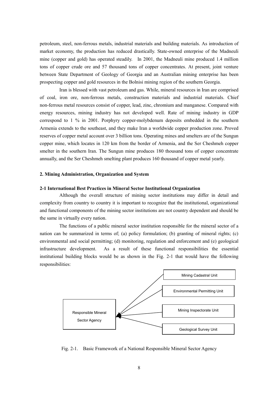petroleum, steel, non-ferrous metals, industrial materials and building materials. As introduction of market economy, the production has reduced drastically. State-owned enterprise of the Madneuli mine (copper and gold) has operated steadily. In 2001, the Madneuli mine produced 1.4 million tons of copper crude ore and 57 thousand tons of copper concentrates. At present, joint venture between State Department of Geology of Georgia and an Australian mining enterprise has been prospecting copper and gold resources in the Bolnisi mining region of the southern Georgia.

 Iran is blessed with vast petroleum and gas. While, mineral resources in Iran are comprised of coal, iron ore, non-ferrous metals, construction materials and industrial materials. Chief non-ferrous metal resources consist of copper, lead, zinc, chromium and manganese. Compared with energy resources, mining industry has not developed well. Rate of mining industry in GDP correspond to 1 % in 2001. Porphyry copper-molybdenum deposits embedded in the southern Armenia extends to the southeast, and they make Iran a worldwide copper production zone. Proved reserves of copper metal account over 3 billion tons. Operating mines and smelters are of the Sungun copper mine, which locates in 120 km from the border of Armenia, and the Ser Cheshmeh copper smelter in the southern Iran. The Sungun mine produces 180 thousand tons of copper concentrate annually, and the Ser Cheshmeh smelting plant produces 160 thousand of copper metal yearly.

# **2. Mining Administration, Organization and System**

## **2-1 International Best Practices in Mineral Sector Institutional Organization**

Although the overall structure of mining sector institutions may differ in detail and complexity from country to country it is important to recognize that the institutional, organizational and functional components of the mining sector institutions are not country dependent and should be the same in virtually every nation.

The functions of a public mineral sector institution responsible for the mineral sector of a nation can be summarized in terms of; (a) policy formulation; (b) granting of mineral rights; (c) environmental and social permitting; (d) monitoring, regulation and enforcement and (e) geological infrastructure development. As a result of these functional responsibilities the essential institutional building blocks would be as shown in the Fig. 2-1 that would have the following responsibilities:



Fig. 2-1. Basic Framework of a National Responsible Mineral Sector Agency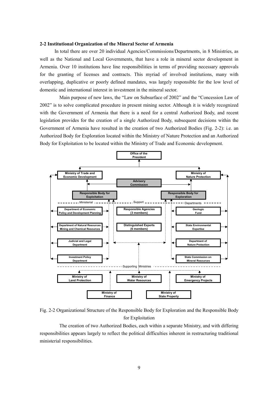#### **2-2 Institutional Organization of the Mineral Sector of Armenia**

 In total there are over 20 individual Agencies/Commissions/Departments, in 8 Ministries, as well as the National and Local Governments, that have a role in mineral sector development in Armenia. Over 10 institutions have line responsibilities in terms of providing necessary approvals for the granting of licenses and contracts. This myriad of involved institutions, many with overlapping, duplicative or poorly defined mandates, was largely responsible for the low level of domestic and international interest in investment in the mineral sector.

 Main purpose of new laws, the "Law on Subsurface of 2002" and the "Concession Law of 2002" is to solve complicated procedure in present mining sector. Although it is widely recognized with the Government of Armenia that there is a need for a central Authorized Body, and recent legislation provides for the creation of a single Authorized Body, subsequent decisions within the Government of Armenia have resulted in the creation of two Authorized Bodies (Fig. 2-2): i.e. an Authorized Body for Exploration located within the Ministry of Nature Protection and an Authorized Body for Exploitation to be located within the Ministry of Trade and Economic development.



Fig. 2-2 Organizational Structure of the Responsible Body for Exploration and the Responsible Body for Exploitation

 The creation of two Authorized Bodies, each within a separate Ministry, and with differing responsibilities appears largely to reflect the political difficulties inherent in restructuring traditional ministerial responsibilities.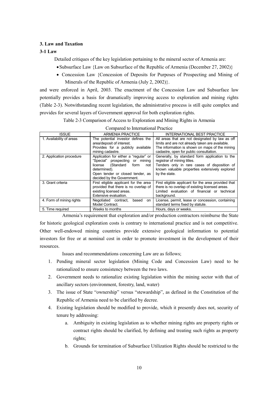# **3. Law and Taxation**

# **3-1 Law**

Detailed critiques of the key legislation pertaining to the mineral sector of Armenia are:

- Subsurface Law {Law on Subsurface of the Republic of Armenia (December 27, 2002)}
- Concession Law {Concession of Deposits for Purposes of Prospecting and Mining of Minerals of the Republic of Armenia (July 2, 2002)}.

and were enforced in April, 2003. The enactment of the Concession Law and Subsurface law potentially provides a basis for dramatically improving access to exploration and mining rights (Table 2-3). Notwithstanding recent legislation, the administrative process is still quite complex and provides for several layers of Government approval for both exploration rights.

Table 2-3 Comparison of Access to Exploration and Mining Rights in Armenia

| compared to mitchmitchan ratedree |                                                                                                                                                                                             |                                                                                                                                                                                                  |  |  |  |  |
|-----------------------------------|---------------------------------------------------------------------------------------------------------------------------------------------------------------------------------------------|--------------------------------------------------------------------------------------------------------------------------------------------------------------------------------------------------|--|--|--|--|
| <b>ISSUE</b>                      | <b>ARMENIA PRACTICE</b>                                                                                                                                                                     | <b>INTERNATIONAL BEST PRACTICE</b>                                                                                                                                                               |  |  |  |  |
| 1. Availability of areas          | The potential investor defines the<br>area/deposit of interest.<br>Provides for a publicly available<br>mining cadastre.                                                                    | All areas that are not designated by law as off<br>limits and are not already taken are available.<br>The information is shown on maps of the mining<br>cadastre, open for public consultation.  |  |  |  |  |
| 2. Application procedure          | Application for either a "regular" or<br>"Special" prospecting or mining<br>license (Standard form<br>not<br>determined).<br>Open tender or closed tender, as<br>decided by the Government. | Generally, by standard form application to the<br>registrar of mining titles.<br>Tenders only in rare cases of disposition of<br>known valuable properties extensively explored<br>by the state. |  |  |  |  |
| 3. Grant criteria                 | First eligible applicant for the area<br>provided that there is no overlap of<br>existing licensed areas.<br>Extensive evaluation.                                                          | First eligible applicant for the area provided that<br>there is no overlap of existing licensed areas.<br>Limited evaluation of financial or technical<br>background.                            |  |  |  |  |
| 4. Form of mining rights          | Negotiated contract.<br>based<br>on<br>Model Contract.                                                                                                                                      | License, permit, lease or concession, containing<br>standard terms fixed by statute.                                                                                                             |  |  |  |  |
| 5. Time required                  | Weeks to months                                                                                                                                                                             | Hours, days or weeks.                                                                                                                                                                            |  |  |  |  |

Compared to International Practice

Armenia's requirement that exploration and/or production contractors reimburse the State for historic geological exploration costs is contrary to international practice and is not competitive. Other well-endowed mining countries provide extensive geological information to potential investors for free or at nominal cost in order to promote investment in the development of their resources.

Issues and recommendations concerning Law are as follows;

- 1. Pending mineral sector legislation (Mining Code and Concession Law) need to be rationalized to ensure consistency between the two laws.
- 2. Government needs to rationalize existing legislation within the mining sector with that of ancillary sectors (environment, forestry, land, water)
- 3. The issue of State "ownership" versus "stewardship", as defined in the Constitution of the Republic of Armenia need to be clarified by decree.
- 4. Existing legislation should be modified to provide, which it presently does not, security of tenure by addressing:
	- a. Ambiguity in existing legislation as to whether mining rights are property rights or contract rights should be clarified, by defining and treating such rights as property rights;
	- b. Grounds for termination of Subsurface Utilization Rights should be restricted to the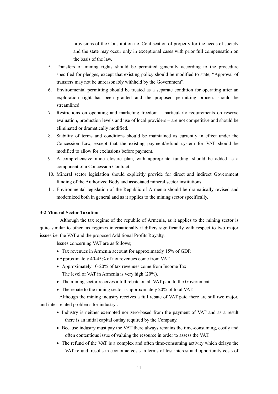provisions of the Constitution i.e. Confiscation of property for the needs of society and the state may occur only in exceptional cases with prior full compensation on the basis of the law.

- 5. Transfers of mining rights should be permitted generally according to the procedure specified for pledges, except that existing policy should be modified to state, "Approval of transfers may not be unreasonably withheld by the Government".
- 6. Environmental permitting should be treated as a separate condition for operating after an exploration right has been granted and the proposed permitting process should be streamlined.
- 7. Restrictions on operating and marketing freedom particularly requirements on reserve evaluation, production levels and use of local providers – are not competitive and should be eliminated or dramatically modified.
- 8. Stability of terms and conditions should be maintained as currently in effect under the Concession Law, except that the existing payment/refund system for VAT should be modified to allow for exclusions before payment.
- 9. A comprehensive mine closure plan, with appropriate funding, should be added as a component of a Concession Contract.
- 10. Mineral sector legislation should explicitly provide for direct and indirect Government funding of the Authorized Body and associated mineral sector institutions.
- 11. Environmental legislation of the Republic of Armenia should be dramatically revised and modernized both in general and as it applies to the mining sector specifically.

# **3-2 Mineral Sector Taxation**

Although the tax regime of the republic of Armenia, as it applies to the mining sector is quite similar to other tax regimes internationally it differs significantly with respect to two major issues i.e. the VAT and the proposed Additional Profits Royalty.

Issues concerning VAT are as follows;

- Tax revenues in Armenia account for approximately 15% of GDP.
- Approximately 40-45% of tax revenues come from VAT.
- Approximately 10-20% of tax revenues come from Income Tax. The level of VAT in Armenia is very high (20%)**.**
- The mining sector receives a full rebate on all VAT paid to the Government.
- The rebate to the mining sector is approximately 20% of total VAT.

 Although the mining industry receives a full rebate of VAT paid there are still two major, and inter-related problems for industry .

- Industry is neither exempted nor zero-based from the payment of VAT and as a result there is an initial capital outlay required by the Company.
- Because industry must pay the VAT there always remains the time-consuming, costly and often contentious issue of valuing the resource in order to assess the VAT.
- The refund of the VAT is a complex and often time-consuming activity which delays the VAT refund, results in economic costs in terms of lost interest and opportunity costs of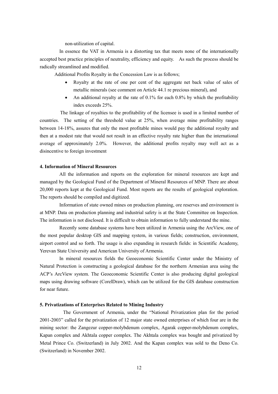non-utilization of capital.

In essence the VAT in Armenia is a distorting tax that meets none of the internationally accepted best practice principles of neutrality, efficiency and equity. As such the process should be radically streamlined and modified.

Additional Profits Royalty in the Concession Law is as follows;

- Royalty at the rate of one per cent of the aggregate net back value of sales of metallic minerals (see comment on Article 44.1 re precious mineral), and
- An additional royalty at the rate of 0.1% for each 0.8% by which the profitability index exceeds 25%.

The linkage of royalties to the profitability of the licensee is used in a limited number of countries. The setting of the threshold value at 25%, when average mine profitability ranges between 14-18%, assures that only the most profitable mines would pay the additional royalty and then at a modest rate that would not result in an effective royalty rate higher than the international average of approximately 2.0%. However, the additional profits royalty may well act as a disincentive to foreign investment

# **4. Information of Mineral Resources**

 All the information and reports on the exploration for mineral resources are kept and managed by the Geological Fund of the Department of Mineral Resources of MNP. There are about 20,000 reports kept at the Geological Fund. Most reports are the results of geological exploration. The reports should be compiled and digitized.

 Information of state owned mines on production planning, ore reserves and environment is at MNP. Data on production planning and industrial safety is at the State Committee on Inspection. The information is not disclosed. It is difficult to obtain information to fully understand the mine.

Recently some database systems have been utilized in Armenia using the ArcView, one of the most popular desktop GIS and mapping system, in various fields; construction, environment, airport control and so forth. The usage is also expanding in research fields: in Scientific Academy, Yerevan State University and American University of Armenia.

 In mineral resources fields the Geoeconomic Scientific Center under the Ministry of Natural Protection is constructing a geological database for the northern Armenian area using the ACP's ArcView system. The Geoeconomic Scientific Center is also producing digital geological maps using drawing software (CorelDraw), which can be utilized for the GIS database construction for near future.

# **5. Privatizations of Enterprises Related to Mining Industry**

The Government of Armenia, under the "National Privatization plan for the period 2001-2003" called for the privatization of 12 major state owned enterprises of which four are in the mining sector: the Zangezur copper-molybdenum complex, Agarak copper-molybdenum complex, Kapan complex and Akhtala copper complex. The Akhtala complex was bought and privatized by Metal Prince Co. (Switzerland) in July 2002. And the Kapan complex was sold to the Deno Co. (Switzerland) in November 2002.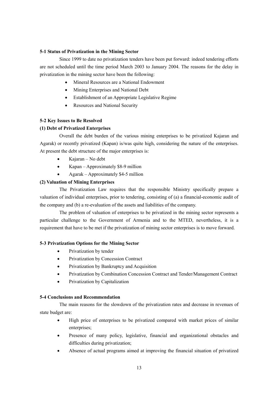# **5-1 Status of Privatization in the Mining Sector**

Since 1999 to date no privatization tenders have been put forward: indeed tendering efforts are not scheduled until the time period March 2003 to January 2004. The reasons for the delay in privatization in the mining sector have been the following:

- Mineral Resources are a National Endowment
- Mining Enterprises and National Debt
- Establishment of an Appropriate Legislative Regime
- Resources and National Security

# **5-2 Key Issues to Be Resolved**

# **(1) Debt of Privatized Enterprises**

Overall the debt burden of the various mining enterprises to be privatized Kajaran and Agarak) or recently privatized (Kapan) is/was quite high, considering the nature of the enterprises. At present the debt structure of the major enterprises is:

- Kajaran No debt
- Kapan Approximately \$8-9 million
- Agarak Approximately \$4-5 million

# **(2) Valuation of Mining Enterprises**

The Privatization Law requires that the responsible Ministry specifically prepare a valuation of individual enterprises, prior to tendering, consisting of (a) a financial-economic audit of the company and (b) a re-evaluation of the assets and liabilities of the company.

The problem of valuation of enterprises to be privatized in the mining sector represents a particular challenge to the Government of Armenia and to the MTED, nevertheless, it is a requirement that have to be met if the privatization of mining sector enterprises is to move forward.

# **5-3 Privatization Options for the Mining Sector**

- Privatization by tender
- Privatization by Concession Contract
- Privatization by Bankruptcy and Acquisition
- Privatization by Combination Concession Contract and Tender/Management Contract
- Privatization by Capitalization

# **5-4 Conclusions and Recommendation**

The main reasons for the slowdown of the privatization rates and decrease in revenues of state budget are:

- High price of enterprises to be privatized compared with market prices of similar enterprises;
- Presence of many policy, legislative, financial and organizational obstacles and difficulties during privatization;
- Absence of actual programs aimed at improving the financial situation of privatized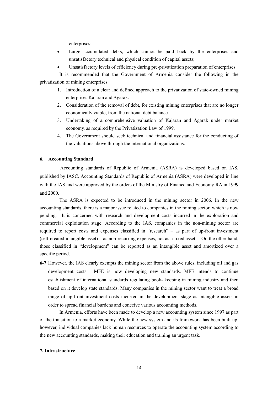enterprises;

- Large accumulated debts, which cannot be paid back by the enterprises and unsatisfactory technical and physical condition of capital assets;
- Unsatisfactory levels of efficiency during pre-privatization preparation of enterprises.

It is recommended that the Government of Armenia consider the following in the privatization of mining enterprises:

- 1. Introduction of a clear and defined approach to the privatization of state-owned mining enterprises Kajaran and Agarak.
- 2. Consideration of the removal of debt, for existing mining enterprises that are no longer economically viable, from the national debt balance.
- 3. Undertaking of a comprehensive valuation of Kajaran and Agarak under market economy, as required by the Privatization Law of 1999.
- 4. The Government should seek technical and financial assistance for the conducting of the valuations above through the international organizations.

# **6. Accounting Standard**

Accounting standards of Republic of Armenia (ASRA) is developed based on IAS, published by IASC. Accounting Standards of Republic of Armenia (ASRA) were developed in line with the IAS and were approved by the orders of the Ministry of Finance and Economy RA in 1999 and 2000.

The ASRA is expected to be introduced in the mining sector in 2006. In the new accounting standards, there is a major issue related to companies in the mining sector, which is now pending. It is concerned with research and development costs incurred in the exploration and commercial exploitation stage. According to the IAS, companies in the non-mining sector are required to report costs and expenses classified in "research" – as part of up-front investment (self-created intangible asset) – as non-recurring expenses, not as a fixed asset. On the other hand, those classified in "development" can be reported as an intangible asset and amortized over a specific period.

**6-7** However, the IAS clearly exempts the mining sector from the above rules, including oil and gas development costs. MFE is now developing new standards. MFE intends to continue establishment of international standards regulating book- keeping in mining industry and then based on it develop state standards. Many companies in the mining sector want to treat a broad range of up-front investment costs incurred in the development stage as intangible assets in order to spread financial burdens and conceive various accounting methods.

 In Armenia, efforts have been made to develop a new accounting system since 1997 as part of the transition to a market economy. While the new system and its framework has been built up, however, individual companies lack human resources to operate the accounting system according to the new accounting standards, making their education and training an urgent task.

# **7. Infrastructure**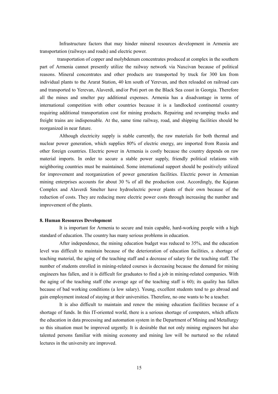Infrastructure factors that may hinder mineral resources development in Armenia are transportation (railways and roads) and electric power.

transportation of copper and molybdenum concentrates produced at complex in the southern part of Armenia cannot presently utilize the railway network via Naxcivan because of political reasons. Mineral concentrates and other products are transported by truck for 300 km from individual plants to the Ararat Station, 40 km south of Yerevan, and then reloaded on railroad cars and transported to Yerevan, Alaverdi, and/or Poti port on the Black Sea coast in Georgia. Therefore all the mines and smelter pay additional expenses. Armenia has a disadvantage in terms of international competition with other countries because it is a landlocked continental country requiring additional transportation cost for mining products. Repairing and revamping trucks and freight trains are indispensable. At the, same time railway, road, and shipping facilities should be reorganized in near future.

 Although electricity supply is stable currently, the raw materials for both thermal and nuclear power generation, which supplies 80% of electric energy, are imported from Russia and other foreign countries. Electric power in Armenia is costly because the country depends on raw material imports. In order to secure a stable power supply, friendly political relations with neighboring countries must be maintained. Some international support should be positively utilized for improvement and reorganization of power generation facilities. Electric power in Armenian mining enterprises accounts for about 30 % of all the production cost. Accordingly, the Kajaran Complex and Alaverdi Smelter have hydroelectric power plants of their own because of the reduction of costs. They are reducing more electric power costs through increasing the number and improvement of the plants.

#### **8. Human Resources Development**

It is important for Armenia to secure and train capable, hard-working people with a high standard of education. The country has many serious problems in education.

After independence, the mining education budget was reduced to 35%, and the education level was difficult to maintain because of the deterioration of education facilities, a shortage of teaching material, the aging of the teaching staff and a decrease of salary for the teaching staff. The number of students enrolled in mining-related courses is decreasing because the demand for mining engineers has fallen, and it is difficult for graduates to find a job in mining-related companies. With the aging of the teaching staff (the average age of the teaching staff is 60); its quality has fallen because of bad working conditions (a low salary). Young, excellent students tend to go abroad and gain employment instead of staying at their universities. Therefore, no one wants to be a teacher.

It is also difficult to maintain and renew the mining education facilities because of a shortage of funds. In this IT-oriented world, there is a serious shortage of computers, which affects the education in data processing and automation system in the Department of Mining and Metallurgy so this situation must be improved urgently. It is desirable that not only mining engineers but also talented persons familiar with mining economy and mining law will be nurtured so the related lectures in the university are improved.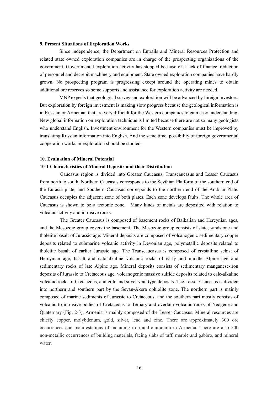# **9. Present Situations of Exploration Works**

Since independence, the Department on Entrails and Mineral Resources Protection and related state owned exploration companies are in charge of the prospecting organizations of the government. Governmental exploration activity has stopped because of a lack of finance, reduction of personnel and decrepit machinery and equipment. State owned exploration companies have hardly grown. No prospecting program is progressing except around the operating mines to obtain additional ore reserves so some supports and assistance for exploration activity are needed.

MNP expects that geological survey and exploration will be advanced by foreign investors. But exploration by foreign investment is making slow progress because the geological information is in Russian or Armenian that are very difficult for the Western companies to gain easy understanding. New global information on exploration technique is limited because there are not so many geologists who understand English. Investment environment for the Western companies must be improved by translating Russian information into English. And the same time, possibility of foreign governmental cooperation works in exploration should be studied.

#### **10. Evaluation of Mineral Potential**

#### **10-1 Characteristics of Mineral Deposits and their Distribution**

Caucasus region is divided into Greater Caucasus, Transcaucasus and Lesser Caucasus from north to south. Northern Caucasus corresponds to the Scythian Platform of the southern end of the Eurasia plate, and Southern Caucasus corresponds to the northern end of the Arabian Plate. Caucasus occupies the adjacent zone of both plates. Each zone develops faults. The whole area of Caucasus is shown to be a tectonic zone. Many kinds of metals are deposited with relation to volcanic activity and intrusive rocks.

The Greater Caucasus is composed of basement rocks of Baikalian and Hercynian ages, and the Mesozoic group covers the basement. The Mesozoic group consists of slate, sandstone and tholeiite basalt of Jurassic age. Mineral deposits are composed of volcanogenic sedimentary copper deposits related to submarine volcanic activity in Devonian age, polymetallic deposits related to tholeiite basalt of earlier Jurassic age. The Transcaucasus is composed of crystalline schist of Hercynian age, basalt and calc-alkaline volcanic rocks of early and middle Alpine age and sedimentary rocks of late Alpine age. Mineral deposits consists of sedimentary manganese-iron deposits of Jurassic to Cretaceous age, volcanogenic massive sulfide deposits related to calc-alkaline volcanic rocks of Cretaceous, and gold and silver vein type deposits. The Lesser Caucasus is divided into northern and southern part by the Sevan-Akera ophiolite zone. The northern part is mainly composed of marine sediments of Jurassic to Cretaceous, and the southern part mostly consists of volcanic to intrusive bodies of Cretaceous to Tertiary and overlain volcanic rocks of Neogene and Quaternary (Fig. 2-3). Armenia is mainly composed of the Lesser Caucasus. Mineral resources are chiefly copper, molybdenum, gold, silver, lead and zinc. There are approximately 300 ore occurrences and manifestations of including iron and aluminum in Armenia. There are also 500 non-metallic occurrences of building materials, facing slabs of tuff, marble and gabbro, and mineral water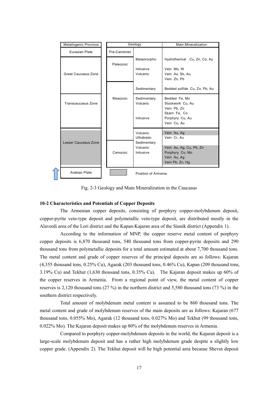| Metallogenic Province |  |              | Geology                              | Main Mineralization                                                                                |  |  |
|-----------------------|--|--------------|--------------------------------------|----------------------------------------------------------------------------------------------------|--|--|
| Eurasian Plate        |  | Pre-Cambrian |                                      |                                                                                                    |  |  |
| Great Caucasus Zone   |  | Paleozoic    | Metamorphic<br>Intrusive<br>Volcanic | Hydrothermal Cu, Zn, Co, Au<br>Vein Mo, W<br>Vein As, Sb, Au<br>Vein Zn, Pb                        |  |  |
|                       |  |              | Sedimentary                          | Bedded sulfide Cu, Zn, Pb, Au                                                                      |  |  |
| Transcaucasus Zone    |  | Mesozoic     | Sedimentary<br>Volcanic<br>Intrusive | Bedded Fe, Mn<br>Stockwork Cu, Au<br>Vein Pb, Zn<br>Skarn Fe, Co<br>Porphyry Cu, Au<br>Vein Cu, Au |  |  |
|                       |  |              | Volcanic<br>Ultrabasic               | Vein Au, Ag<br>Vein Cr. Au                                                                         |  |  |
| Lesser Caucasus Zone  |  | Cenozoic     | Sedimentary<br>Volcanic<br>Intrusive | Vein Au, Ag, Cu, Pb, Zn<br>Porphyry Cu, Mo<br>Vein Au, Ag<br>Vein Pb, Zn, Hg                       |  |  |
| Arabian Plate         |  |              | Position of Armenia                  |                                                                                                    |  |  |

Fig. 2-3 Geology and Main Mineralization in the Caucasus

# **10-2 Characteristics and Potentials of Copper Deposits**

The Armenian copper deposits, consisting of porphyry copper-molybdenum deposit, copper-pyrite vein-type deposit and polymetallic vein-type deposit, are distributed mostly in the Alaverdi area of the Lori district and the Kapan-Kajaran area of the Siunik district (Appendix 1).

 According to the information of MNP, the copper reserve metal content of porphyry copper deposits is 6,870 thousand tons, 540 thousand tons from copper-pyrite deposits and 290 thousand tons from polymetallic deposits for a total amount estimated at about 7,700 thousand tons. The metal content and grade of copper reserves of the principal deposits are as follows: Kajaran (4,355 thousand tons, 0.25% Cu), Agarak (203 thousand tons, 0.46% Cu), Kapan (209 thousand tons, 3.19% Cu) and Tekhut (1,630 thousand tons, 0.35% Cu). The Kajaran deposit makes up 60% of the copper reserves in Armenia. From a regional point of view, the metal content of copper reserves is 2,120 thousand tons (27 %) in the northern district and 5,580 thousand tons (73 %) in the southern district respectively.

 Total amount of molybdenum metal content is assumed to be 860 thousand tons. The metal content and grade of molybdenum reserves of the main deposits are as follows: Kajaran (677 thousand tons, 0.055% Mo), Agarak (12 thousand tons, 0.027% Mo) and Tekhut (99 thousand tons, 0.022% Mo). The Kajaran deposit makes up 80% of the molybdenum reserves in Armenia.

 Compared to porphyry copper-molybdenum deposits in the world, the Kajaran deposit is a large-scale molybdenum deposit and has a rather high molybdenum grade despite a slightly low copper grade. (Appendix 2). The Tekhut deposit will be high potential area because Shevut deposit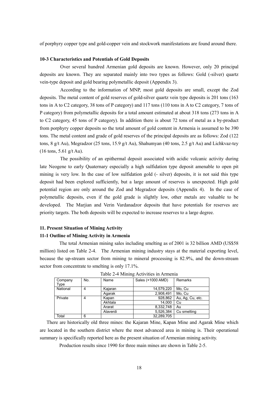of porphyry copper type and gold-copper vein and stockwork manifestations are found around there.

#### **10-3 Characteristics and Potentials of Gold Deposits**

 Over several hundred Armenian gold deposits are known. However, only 20 principal deposits are known. They are separated mainly into two types as follows: Gold (-silver) quartz vein-type deposit and gold bearing polymetallic deposit (Appendix 3).

 According to the information of MNP, most gold deposits are small, except the Zod deposits. The metal content of gold reserves of gold-silver quartz vein type deposits is 201 tons (163 tons in A to C2 category, 38 tons of P category) and 117 tons (110 tons in A to C2 category, 7 tons of P category) from polymetallic deposits for a total amount estimated at about 318 tons (273 tons in A to C2 category, 45 tons of P category). In addition there is about 72 tons of metal as a by-product from porphyry copper deposits so the total amount of gold content in Armenia is assumed to be 390 tons. The metal content and grade of gold reserves of the principal deposits are as follows: Zod (122 tons, 8 g/t Au), Megradzor (25 tons, 15.9 g/t Au), Shahumyan (40 tons, 2.5 g/t Au) and Lichkvaz-tey (16 tons, 5.61 g/t Au).

The possibility of an epithermal deposit associated with acidic volcanic activity during late Neogene to early Quaternary especially a high sulfidation type deposit amenable to open pit mining is very low. In the case of low sulfidation gold (- silver) deposits, it is not said this type deposit had been explored sufficiently, but a large amount of reserves is unexpected. High gold potential region are only around the Zod and Megradzor deposits (Appendix 4). In the case of polymetallic deposits, even if the gold grade is slightly low, other metals are valuable to be developed. The Marjian and Verin Vardanadzor deposits that have potentials for reserves are priority targets. The both deposits will be expected to increase reserves to a large degree.

# **11. Present Situation of Mining Activity**

#### **11-1 Outline of Mining Activity in Armenia**

The total Armenian mining sales including smelting as of 2001 is 32 billion AMD (US\$58 million) listed on Table 2-4. The Armenian mining industry stays at the material exporting level, because the up-stream sector from mining to mineral processing is 82.9%, and the down-stream sector from concentrate to smelting is only 17.1%.

| Company<br>Type | No. | Name     | Sales (×1000 AMD) | Remarks          |  |  |  |  |
|-----------------|-----|----------|-------------------|------------------|--|--|--|--|
| National        | 4   | Kajaran  | 14,579,220        | Mo, Cu           |  |  |  |  |
|                 |     | Agarak   | 2,908,491         | Mo. Cu           |  |  |  |  |
| Private         | 4   | Kapan    | 928,862           | Au, Ag, Cu, etc. |  |  |  |  |
|                 |     | Akhtala  | 14,000            | Cu               |  |  |  |  |
|                 |     | Ararat   | 8,332,748         | Au               |  |  |  |  |
|                 |     | Alaverdi | 5.526.384         | Cu smelting      |  |  |  |  |
| Total           | 6   |          | 32,289,705        |                  |  |  |  |  |

Table 2-4 Mining Activities in Armenia

There are historically old three mines: the Kajaran Mine, Kapan Mine and Agarak Mine which are located in the southern district where the most advanced area in mining is. Their operational summary is specifically reported here as the present situation of Armenian mining activity.

Production results since 1990 for three main mines are shown in Table 2-5.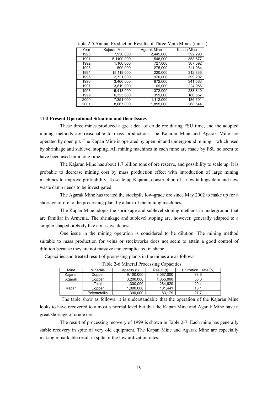| Year | Kajaran Mine | Agarak Mine | Kapan Mine |
|------|--------------|-------------|------------|
| 1990 | 7,950,000    | 2,445,000   | 392,298    |
| 1991 | 5,1100,000   | 1,548,000   | 358,577    |
| 1992 | 1,100,000    | 727,000     | 307,092    |
| 1993 | 500,000      | 275,000     | 311,964    |
| 1994 | 15,119,000   | 220,000     | 312,336    |
| 1995 | 2,721,000    | 970.000     | 399,202    |
| 1996 | 3,460,000    | 872,000     | 341,563    |
| 1997 | 3,819,000    | 69,000      | 224,956    |
| 1998 | 5,418,000    | 372,000     | 233,340    |
| 1999 | 6,325,000    | 359,000     | 186,557    |
| 2000 | 7,351,000    | 1,112,000   | 136,601    |
| 2001 | 8.067.000    | 1.855.000   | 268,544    |

Table 2-5 Annual Production Results of Three Main Mines (unit: t)

# **11-2 Present Operational Situation and their Issues**

These three mines produced a great deal of crude ore during FSU time, and the adopted mining methods are reasonable to mass production. The Kajaran Mine and Agarak Mine are operated by open pit. The Kapan Mine is operated by open pit and underground mining which used by shrinkage and sublevel stoping. All mining machines in each mine are made by FSU so seem to have been used for a long time.

The Kajaran Mine has about 1.7 billion tons of ore reserve, and possibility to scale up. It is probable to decrease mining cost by mass production effect with introduction of large mining machines to improve profitability. To scale up Kajaran, construction of a new tailings dam and new waste damp needs to be investigated.

The Agarak Mine has treated the stockpile low-grade ore since May 2002 to make up for a shortage of ore to the processing plant by a lack of the mining machines.

The Kapan Mine adopts the shrinkage and sublevel stoping methods in underground that are familiar in Armenia. The shrinkage and sublevel stoping are, however, generally adapted to a simpler shaped orebody like a massive deposit.

One issue in the mining operation is considered to be dilution. The mining method suitable to mass production for veins or stockworks does not seem to attain a good control of dilution because they are not massive and complicated in shape.

Capacities and treated result of processing plants in the mines are as follows:

| Mine    | <b>Minerals</b> | Capacity (t) | Result (t) | rate $(\%)$<br>Utilization |
|---------|-----------------|--------------|------------|----------------------------|
| Kajaran | Copper          | 9,100,000    | 8,067,000  | 88.6                       |
| Agarak  | Copper          | 3,200,000    | 1,855,000  | 58.0                       |
|         | Total           | 1,300,000    | 264.620    | 20.4                       |
| Kapan   | Copper          | 1,000,000    | 181.441    | 18.1                       |
|         | Polymetallic    | 300,000      | 83.179     | 27.7                       |

Table 2-6 Mineral Processing Capacities

 The table show as follows: it is understandable that the operation of the Kajaran Mine looks to have recovered to almost a normal level but that the Kapan Mine and Agarak Mine have a great shortage of crude ore.

The result of processing recovery of 1999 is shown in Table 2-7. Each mine has generally stable recovery in spite of very old equipment. The Kapan Mine and Agarak Mine are especially making remarkable result in spite of the low utilization rates.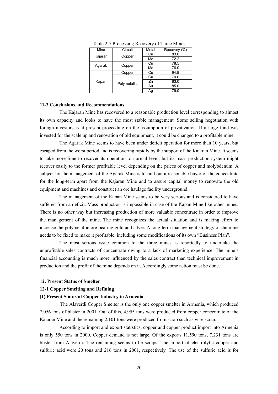| Mine    | Circuit      | Metal | Recovery (%) |
|---------|--------------|-------|--------------|
| Kajaran | Copper       | Cu    | 83.0         |
|         |              | Mo    | 72.2         |
| Agarak  | Copper       | Cu    | 78.5         |
|         |              | Mo    | 76.0         |
|         | Copper       | Cu    | 94.9         |
|         |              | Cu    | 70.0         |
| Kapan   | Polymetallic | Zn    | 83.0         |
|         |              | Au    | 85.0         |
|         |              | Ag    | 79.0         |

Table 2-7 Processing Recovery of Three Mines

#### **11-3 Conclusions and Recommendations**

The Kajaran Mine has recovered to a reasonable production level corresponding to almost its own capacity and looks to have the most stable management. Some selling negotiation with foreign investors is at present proceeding on the assumption of privatization. If a large fund was invested for the scale up and renovation of old equipment, it could be changed to a profitable mine.

The Agarak Mine seems to have been under deficit operation for more than 10 years, but escaped from the worst period and is recovering rapidly by the support of the Kajaran Mine. It seems to take more time to recover its operation to normal level, but its mass production system might recover easily to the former profitable level depending on the prices of copper and molybdenum. A subject for the management of the Agarak Mine is to find out a reasonable buyer of the concentrate for the long-term apart from the Kajaran Mine and to assure capital money to renovate the old equipment and machines and construct an ore haulage facility underground.

The management of the Kapan Mine seems to be very serious and is considered to have suffered from a deficit. Mass production is impossible in case of the Kapan Mine like other mines. There is no other way but increasing production of more valuable concentrate in order to improve the management of the mine. The mine recognizes the actual situation and is making effort to increase the polymetallic ore bearing gold and silver. A long-term management strategy of the mine needs to be fixed to make it profitable, including some modifications of its own "Business Plan".

The most serious issue common to the three mines is reportedly to undertake the unprofitable sales contracts of concentrate owing to a lack of marketing experience. The mine's financial accounting is much more influenced by the sales contract than technical improvement in production and the profit of the mine depends on it. Accordingly some action must be done.

#### **12. Present Status of Smelter**

# **12-1 Copper Smelting and Refining**

#### **(1) Present Status of Copper Industry in Armenia**

 The Alaverdi Copper Smelter is the only one copper smelter in Armenia, which produced 7,056 tons of blister in 2001. Out of this, 4,955 tons were produced from copper concentrate of the Kajaran Mine and the remaining 2,101 tons were produced from scrap such as wire scrap.

According to import and export statistics, copper and copper product import into Armenia is only 550 tons in 2000. Copper demand is not large. Of the exports 11,590 tons, 7,231 tons are blister from Alaverdi. The remaining seems to be scraps. The import of electrolytic copper and sulfuric acid were 20 tons and 216 tons in 2001, respectively. The use of the sulfuric acid is for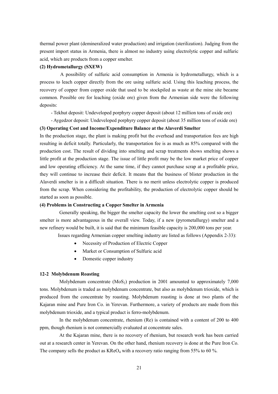thermal power plant (demineralized water production) and irrigation (sterilization). Judging from the present import status in Armenia, there is almost no industry using electrolytic copper and sulfuric acid, which are products from a copper smelter.

# **(2) Hydrometallurgy (SXEW)**

A possibility of sulfuric acid consumption in Armenia is hydrometallurgy, which is a process to leach copper directly from the ore using sulfuric acid. Using this leaching process, the recovery of copper from copper oxide that used to be stockpiled as waste at the mine site became common. Possible ore for leaching (oxide ore) given from the Armenian side were the following deposits:

- Tekhut deposit: Undeveloped porphyry copper deposit (about 12 million tons of oxide ore)

- Aygedzor deposit: Undeveloped porphyry copper deposit (about 35 million tons of oxide ore)

#### **(3) Operating Cost and Income/Expenditure Balance at the Alaverdi Smelter**

In the production stage, the plant is making profit but the overhead and transportation fees are high resulting in deficit totally. Particularly, the transportation fee is as much as 85% compared with the production cost. The result of dividing into smelting and scrap treatments shows smelting shows a little profit at the production stage. The issue of little profit may be the low market price of copper and low operating efficiency. At the same time, if they cannot purchase scrap at a profitable price, they will continue to increase their deficit. It means that the business of blister production in the Alaverdi smelter is in a difficult situation. There is no merit unless electrolytic copper is produced from the scrap. When considering the profitability, the production of electrolytic copper should be started as soon as possible.

# **(4) Problems in Constructing a Copper Smelter in Armenia**

Generally speaking, the bigger the smelter capacity the lower the smelting cost so a bigger smelter is more advantageous in the overall view. Today, if a new (pyrometallurgy) smelter and a new refinery would be built, it is said that the minimum feasible capacity is 200,000 tons per year.

Issues regarding Armenian copper smelting industry are listed as follows (Appendix 2-33):

- Necessity of Production of Electric Copper
- Market or Consumption of Sulfuric acid
- Domestic copper industry

# **12-2 Molybdenum Roasting**

Molybdenum concentrate  $(MoS_2)$  production in 2001 amounted to approximately 7,000 tons. Molybdenum is traded as molybdenum concentrate, but also as molybdenum trioxide, which is produced from the concentrate by roasting. Molybdenum roasting is done at two plants of the Kajaran mine and Pure Iron Co. in Yerevan. Furthermore, a variety of products are made from this molybdenum trioxide, and a typical product is ferro-molybdenum.

In the molybdenum concentrate, rhenium (Re) is contained with a content of 200 to 400 ppm, though rhenium is not commercially evaluated at concentrate sales.

At the Kajaran mine, there is no recovery of rhenium, but research work has been carried out at a research center in Yerevan. On the other hand, rhenium recovery is done at the Pure Iron Co. The company sells the product as  $KReO<sub>4</sub>$  with a recovery ratio ranging from 55% to 60 %.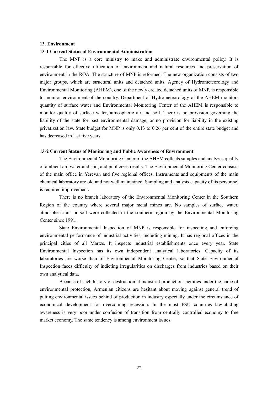# **13. Environment**

#### **13-1 Current Status of Environmental Administration**

 The MNP is a core ministry to make and administrate environmental policy. It is responsible for effective utilization of environment and natural resources and preservation of environment in the ROA. The structure of MNP is reformed. The new organization consists of two major groups, which are structural units and detached units. Agency of Hydrometeorology and Environmental Monitoring (AHEM), one of the newly created detached units of MNP, is responsible to monitor environment of the country. Department of Hydrometeorology of the AHEM monitors quantity of surface water and Environmental Monitoring Center of the AHEM is responsible to monitor quality of surface water, atmospheric air and soil. There is no provision governing the liability of the state for past environmental damage, or no provision for liability in the existing privatization law. State budget for MNP is only 0.13 to 0.26 per cent of the entire state budget and has decreased in last five years.

# **13-2 Current Status of Monitoring and Public Awareness of Environment**

The Environmental Monitoring Center of the AHEM collects samples and analyzes quality of ambient air, water and soil, and publicizes results. The Environmental Monitoring Center consists of the main office in Yerevan and five regional offices. Instruments and equipments of the main chemical laboratory are old and not well maintained. Sampling and analysis capacity of its personnel is required improvement.

There is no branch laboratory of the Environmental Monitoring Center in the Southern Region of the country where several major metal mines are. No samples of surface water, atmospheric air or soil were collected in the southern region by the Environmental Monitoring Center since 1991.

State Environmental Inspection of MNP is responsible for inspecting and enforcing environmental performance of industrial activities, including mining. It has regional offices in the principal cities of all Martzs. It inspects industrial establishments once every year. State Environmental Inspection has its own independent analytical laboratories. Capacity of its laboratories are worse than of Environmental Monitoring Center, so that State Environmental Inspection faces difficulty of indicting irregularities on discharges from industries based on their own analytical data.

Because of such history of destruction at industrial production facilities under the name of environmental protection, Armenian citizens are hesitant about moving against general trend of putting environmental issues behind of production in industry especially under the circumstance of economical development for overcoming recession. In the most FSU countries law-abiding awareness is very poor under confusion of transition from centrally controlled economy to free market economy. The same tendency is among environment issues.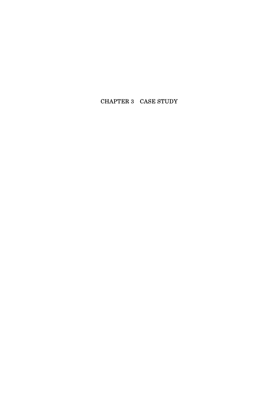# CHAPTER 3 CASE STUDY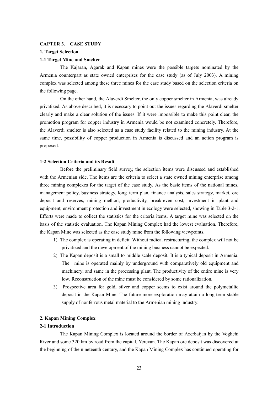#### **CAPTER 3. CASE STUDY**

#### **1. Target Selection**

### **1-1 Target Mine and Smelter**

 The Kajaran, Agarak and Kapan mines were the possible targets nominated by the Armenia counterpart as state owned enterprises for the case study (as of July 2003). A mining complex was selected among these three mines for the case study based on the selection criteria on the following page.

 On the other hand, the Alaverdi Smelter, the only copper smelter in Armenia, was already privatized. As above described, it is necessary to point out the issues regarding the Alaverdi smelter clearly and make a clear solution of the issues. If it were impossible to make this point clear, the promotion program for copper industry in Armenia would be not examined concretely. Therefore, the Alaverdi smelter is also selected as a case study facility related to the mining industry. At the same time, possibility of copper production in Armenia is discussed and an action program is proposed.

## **1-2 Selection Criteria and its Result**

Before the preliminary field survey, the selection items were discussed and established with the Armenian side. The items are the criteria to select a state owned mining enterprise among three mining complexes for the target of the case study. As the basic items of the national mines, management policy, business strategy, long–term plan, finance analysis, sales strategy, market, ore deposit and reserves, mining method, productivity, break-even cost, investment in plant and equipment, environment protection and investment in ecology were selected, showing in Table 3-2-1. Efforts were made to collect the statistics for the criteria items. A target mine was selected on the basis of the statistic evaluation. The Kapan Mining Complex had the lowest evaluation. Therefore, the Kapan Mine was selected as the case study mine from the following viewpoints.

- 1) The complex is operating in deficit. Without radical restructuring, the complex will not be privatized and the development of the mining business cannot be expected.
- 2) The Kapan deposit is a small to middle scale deposit. It is a typical deposit in Armenia. The mine is operated mainly by underground with comparatively old equipment and machinery, and same in the processing plant. The productivity of the entire mine is very low. Reconstruction of the mine must be considered by some rationalization.
- 3) Prospective area for gold, silver and copper seems to exist around the polymetallic deposit in the Kapan Mine. The future more exploration may attain a long-term stable supply of nonferrous metal material to the Armenian mining industry.

# **2. Kapan Mining Complex**

# **2-1 Introduction**

 The Kapan Mining Complex is located around the border of Azerbaijan by the Voghchi River and some 320 km by road from the capital, Yerevan. The Kapan ore deposit was discovered at the beginning of the nineteenth century, and the Kapan Mining Complex has continued operating for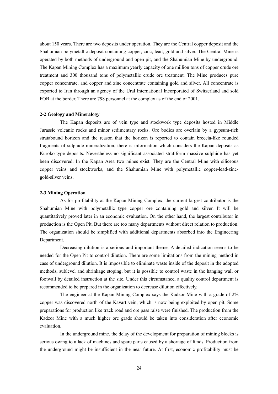about 150 years. There are two deposits under operation. They are the Central copper deposit and the Shahumian polymetallic deposit containing copper, zinc, lead, gold and silver. The Central Mine is operated by both methods of underground and open pit, and the Shahumian Mine by underground. The Kapan Mining Complex has a maximum yearly capacity of one million tons of copper crude ore treatment and 300 thousand tons of polymetallic crude ore treatment. The Mine produces pure copper concentrate, and copper and zinc concentrate containing gold and silver. All concentrate is exported to Iran through an agency of the Ural International Incorporated of Switzerland and sold FOB at the border. There are 798 personnel at the complex as of the end of 2001.

# **2-2 Geology and Mineralogy**

The Kapan deposits are of vein type and stockwork type deposits hosted in Middle Jurassic volcanic rocks and minor sedimentary rocks. Ore bodies are overlain by a gypsum-rich stratabound horizon and the reason that the horizon is reported to contain breccia-like rounded fragments of sulphide mineralization, there is information which considers the Kapan deposits as Kuroko-type deposits. Nevertheless no significant associated stratiform massive sulphide has yet been discovered. In the Kapan Area two mines exist. They are the Central Mine with siliceous copper veins and stockworks, and the Shahumian Mine with polymetallic copper-lead-zincgold-silver veins.

# **2-3 Mining Operation**

As for profitability at the Kapan Mining Complex, the current largest contributor is the Shahumian Mine with polymetallic type copper ore containing gold and silver. It will be quantitatively proved later in an economic evaluation. On the other hand, the largest contributor in production is the Open Pit. But there are too many departments without direct relation to production. The organization should be simplified with additional departments absorbed into the Engineering Department.

 Decreasing dilution is a serious and important theme. A detailed indication seems to be needed for the Open Pit to control dilution. There are some limitations from the mining method in case of underground dilution. It is impossible to eliminate waste inside of the deposit in the adopted methods, sublevel and shrinkage stoping, but it is possible to control waste in the hanging wall or footwall by detailed instruction at the site. Under this circumstance, a quality control department is recommended to be prepared in the organization to decrease dilution effectively.

 The engineer at the Kapan Mining Complex says the Kadzor Mine with a grade of 2% copper was discovered north of the Kavart vein, which is now being exploited by open pit. Some preparations for production like track road and ore pass raise were finished. The production from the Kadzor Mine with a much higher ore grade should be taken into consideration after economic evaluation.

 In the underground mine, the delay of the development for preparation of mining blocks is serious owing to a lack of machines and spare parts caused by a shortage of funds. Production from the underground might be insufficient in the near future. At first, economic profitability must be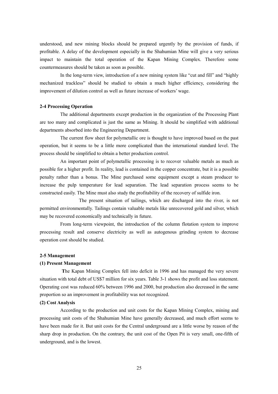understood, and new mining blocks should be prepared urgently by the provision of funds, if profitable. A delay of the development especially in the Shahumian Mine will give a very serious impact to maintain the total operation of the Kapan Mining Complex. Therefore some countermeasures should be taken as soon as possible.

 In the long-term view, introduction of a new mining system like "cut and fill" and "highly mechanized trackless" should be studied to obtain a much higher efficiency, considering the improvement of dilution control as well as future increase of workers' wage.

# **2-4 Processing Operation**

 The additional departments except production in the organization of the Processing Plant are too many and complicated is just the same as Mining. It should be simplified with additional departments absorbed into the Engineering Department.

 The current flow sheet for polymetallic ore is thought to have improved based on the past operation, but it seems to be a little more complicated than the international standard level. The process should be simplified to obtain a better production control.

 An important point of polymetallic processing is to recover valuable metals as much as possible for a higher profit. In reality, lead is contained in the copper concentrate, but it is a possible penalty rather than a bonus. The Mine purchased some equipment except a steam producer to increase the pulp temperature for lead separation. The lead separation process seems to be constructed easily. The Mine must also study the profitability of the recovery of sulfide iron.

 The present situation of tailings, which are discharged into the river, is not permitted environmentally. Tailings contain valuable metals like unrecovered gold and silver, which may be recovered economically and technically in future.

 From long-term viewpoint, the introduction of the column flotation system to improve processing result and conserve electricity as well as autogenous grinding system to decrease operation cost should be studied.

# **2-5 Management**

# **(1) Present Management**

 **T**he Kapan Mining Complex fell into deficit in 1996 and has managed the very severe situation with total debt of US\$7 million for six years. Table 3-1 shows the profit and loss statement. Operating cost was reduced 60% between 1996 and 2000, but production also decreased in the same proportion so an improvement in profitability was not recognized.

#### **(2) Cost Analysis**

 According to the production and unit costs for the Kapan Mining Complex, mining and processing unit costs of the Shahumian Mine have generally decreased, and much effort seems to have been made for it. But unit costs for the Central underground are a little worse by reason of the sharp drop in production. On the contrary, the unit cost of the Open Pit is very small, one-fifth of underground, and is the lowest.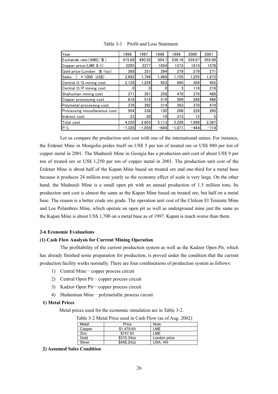| Year                                      | 1996     | 1997     | 1998   | 1999     | 2000   | 2001   |
|-------------------------------------------|----------|----------|--------|----------|--------|--------|
| Exchande rate $(AMD / $ )$                | 415.09   | 490.55   | 504.7  | 536.16   | 539.67 | 555.09 |
| Copper price $(LME$ \$/t)                 | 2295     | 2277     | 1654   | 1573     | 1814   | 1578   |
| Gold price (London<br>$\frac{f}{f}$ /toz) | 388      | 331      | 294    | 279      | 279    | 271    |
| $\times$ 1000 US\$)<br>Sales              | 2.892    | 1.796    | 1.469  | 1.155    | 1,255  | 1,673  |
| Central U/G mining cost                   | 2,128    | 1,226    | 853    | 660      | 304    | 455    |
| Central O/P mining cost                   | 0        | 0        | 0      | 3        | 118    | 218    |
| Shahumian mining cost                     | 371      | 361      | 258    | 470      | 379    | 489    |
| Copper processing cost                    | 816      | 518      | 519    | 309      | 288    | 486    |
| Polymetal processing cost                 | 378      | 392      | 314    | 363      | 370    | 474    |
| Processing miscellaneous cost             | 504      | 338      | 150    | 206      | 228    | 260    |
| Indirect cost                             | 23       | 20       | 19     | 215      | 12     | 5      |
| Total cost                                | 4.220    | 2.855    | 2.113  | 2,226    | 1.699  | 2,387  |
| P/L                                       | $-1.328$ | $-1.059$ | $-644$ | $-1,071$ | $-444$ | $-714$ |

Table 3-1 Profit and Loss Statement

Let us compare the production unit cost with one of the international mines. For instance, the Erdenet Mine in Mongolia prides itself on US\$ 5 per ton of treated ore or US\$ 880 per ton of copper metal in 2001. The Madneuli Mine in Georgia has a production unit cost of about US\$ 9 per ton of treated ore or US\$ 1,250 per ton of copper metal in 2001. The production unit cost of the Erdenet Mine is about half of the Kapan Mine based on treated ore and one-third for a metal base because it produces 24 million tons yearly so the economy effect of scale is very large. On the other hand, the Madneuli Mine is a small open pit with an annual production of 1.5 million tons. Its production unit cost is almost the same as the Kapan Mine based on treated ore, but half on a metal base. The reason is a better crude ore grade. The operation unit cost of the Chilean El Teniente Mine and Los Pelambres Mine, which operate an open pit as well as underground mine just the same as the Kapan Mine is about US\$ 1,700 on a metal base as of 1997. Kapan is much worse than them.

# **2-6 Economic Evaluations**

# **(1) Cash Flow Analysis for Current Mining Operation**

 The profitability of the current production system as well as the Kadzor Open Pit, which has already finished some preparation for production, is proved under the condition that the current production facility works normally. There are four combinations of production system as follows:

- 1) Central Mine-copper process circuit
- 2) Central Open Pit-copper process circuit
- 3) Kadzor Open Pit-copper process circuit
- 4) Shahumian Mine-polymetallic process circuit

# **1) Metal Prices**

Metal prices used for the economic simulation are in Table 3-2.

| Table 3-2 Metal Price used in Cash Flow (as of Aug. 2002) |  |  |
|-----------------------------------------------------------|--|--|
|                                                           |  |  |

| Metal  | Price       | Note         |
|--------|-------------|--------------|
| Copper | \$1.479.6/t | I MF         |
| Zinc   | \$747.6/t   | I MF         |
| Gold   | \$310.3/toz | London price |
| Silver | \$456.2/toz | USA, HH      |

**2) Assumed Sales Condition**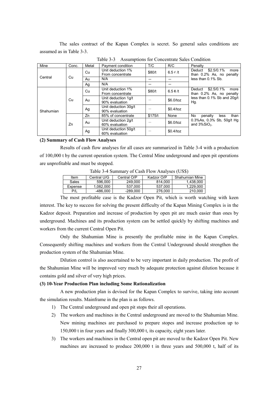The sales contract of the Kapan Complex is secret. So general sales conditions are assumed as in Table 3-3.

| Mine      | Conc. | Metal | Payment condition                      | T/C     | R/C                  | Penalty                                                    |
|-----------|-------|-------|----------------------------------------|---------|----------------------|------------------------------------------------------------|
|           |       | Cu    | Unit deduction 1%<br>From concentrate  | \$80/t  | 6.5 $\not\in$ /t     | $$2.5/0.1\%$<br>Deduct<br>more<br>than 0.2% As, no penalty |
| Central   | Cu    | Au    | N/A                                    |         |                      | less than 0.1% Sb.                                         |
|           |       | Ag    | N/A                                    |         |                      |                                                            |
|           |       | Cu    | Unit deduction 1%<br>From concentrate  | \$80/t  | $6.5$ $\text{\O}$ /t | \$2.5/0.1%<br>Deduct<br>more<br>than 0.2% As, no penalty   |
|           | Cu    | Au    | Unit deduction 1g/t<br>90% evaluation  |         | \$6.0/toz            | less than 0.1% Sb and 20q/t<br>Hg.                         |
| Shahumian |       | Ag    | Unit deduction 30g/t<br>90% evaluation |         | \$0.4/toz            |                                                            |
|           |       | Zn    | 85% of concentrate                     | \$175/t | None                 | No.<br>than<br>penalty<br>less                             |
|           | Zn    | Au    | Unit deduction 2g/t<br>60% evaluation  |         | \$6.0/toz            | 0.3%As, 0.3% Sb, 50g/t Hg<br>and $3\%$ SiO <sub>2</sub> .  |
|           |       | Ag    | Unit deduction 50g/t<br>60% evaluation |         | \$0.4/toz            |                                                            |

Table 3-3 Assumptions for Concentrate Sales Condition

# **(2) Summary of Cash Flow Analyses**

Results of cash flow analyses for all cases are summarized in Table 3-4 with a production of 100,000 t by the current operation system. The Central Mine underground and open pit operations are unprofitable and must be stopped.

| $10010 \text{ J}$ Tournmany of Cabil 110 $\pi$ Than you (ODV) |             |                           |         |                |  |  |  |  |  |
|---------------------------------------------------------------|-------------|---------------------------|---------|----------------|--|--|--|--|--|
| Item                                                          | Central U/G | Central O/P<br>Kadzor O/P |         | Shahumian Mine |  |  |  |  |  |
| Sales                                                         | 596.000     | 249.000                   | 814.000 | 1.438.000      |  |  |  |  |  |
| Expense                                                       | 1.082.000   | 537.000                   | 537.000 | 1.229.000      |  |  |  |  |  |
| P/L                                                           | -486.000    | $-289.000$                | 276.000 | 210,000        |  |  |  |  |  |
|                                                               |             |                           |         |                |  |  |  |  |  |

Table 3-4 Summary of Cash Flow Analyses (US\$)

The most profitable case is the Kadzor Open Pit, which is worth watching with keen interest. The key to success for solving the present difficulty of the Kapan Mining Complex is in the Kadzor deposit. Preparation and increase of production by open pit are much easier than ones by underground. Machines and its production system can be settled quickly by shifting machines and workers from the current Central Open Pit.

Only the Shahumian Mine is presently the profitable mine in the Kapan Complex. Consequently shifting machines and workers from the Central Underground should strengthen the production system of the Shahumian Mine.

Dilution control is also ascertained to be very important in daily production. The profit of the Shahumian Mine will be improved very much by adequate protection against dilution because it contains gold and silver of very high prices.

# **(3) 10-Year Production Plan including Some Rationalization**

A new production plan is devised for the Kapan Complex to survive, taking into account the simulation results. Mainframe in the plan is as follows.

- 1) The Central underground and open pit stops their all operations.
- 2) The workers and machines in the Central underground are moved to the Shahumian Mine. New mining machines are purchased to prepare stopes and increase production up to 150,000 t in four years and finally 300,000 t, its capacity, eight years later.
- 3) The workers and machines in the Central open pit are moved to the Kadzor Open Pit. New machines are increased to produce 200,000 t in three years and 500,000 t, half of its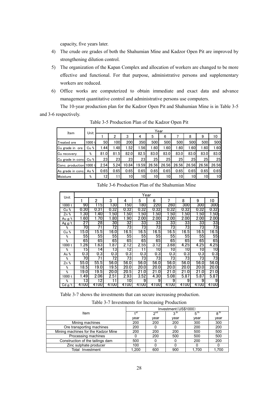capacity, five years later.

r

- 4) The crude ore grades of both the Shahumian Mine and Kadzor Open Pit are improved by strengthening dilution control.
- 5) The organization of the Kapan Complex and allocation of workers are changed to be more effective and functional. For that purpose, administrative persons and supplementary workers are reduced.
- 6) Office works are computerized to obtain immediate and exact data and advance management quantitative control and administrative persons use computers.

The 10-year production plan for the Kadzor Open Pit and Shahumian Mine is in Table 3-5 and 3-6 respectively.

| Item                    | Unit   | Year |                  |       |       |       |       |       |       |                 |       |
|-------------------------|--------|------|------------------|-------|-------|-------|-------|-------|-------|-----------------|-------|
|                         |        |      | 2                | 3     | 4     | 5     | 6     |       | 8     | 9               | 10    |
| Treated ore             | 1000 t | 50   | 100I             | 200   | 350   | 500   | 500   | 500   | 500   | 500             | 500   |
| Cu grade in ore         | Cu %   | 1.44 | .48 <sub>1</sub> | 1.52  | .56   | 1.60  | 1.60  | .60'  | 1.60  | 1.60            | 1.60  |
| Cu recovery             | %      | 81.0 | 81.5             | 82.0  | 82.5  | 83.0  | 83.0  | 83.0  | 83.0  | 83.0            | 83.0  |
| Cu grade in conc.       | Cu %   | 23   | 23               | 23    | 23    | 25    | 25I   | 25    | 25    | 25 <sub>l</sub> | 25    |
| Conc. production 1000 t |        | 2.54 | 5.24             | 10.84 | 19.59 | 26.56 | 26.56 | 26.56 | 26.56 | 26.56           | 26.56 |
| As grade in conc.       | As %   | 0.65 | 0.65             | 0.65  | 0.65  | 0.65  | 0.65  | 0.65  | 0.65  | 0.65            | 0.65  |
| Moisture                | %      | 12   | 11               | 101   | 101   | 10    | 10I   | 10    | 101   | 10              | 10    |

Table 3-5 Production Plan of the Kadzor Open Pit

| Unit     |                   |          |          |                  | Year       |      |            |          |      |            |
|----------|-------------------|----------|----------|------------------|------------|------|------------|----------|------|------------|
|          |                   | 2        | 3        | 4                | 5          | 6    | 7          | 8        | 9    | 10         |
| 1000 t   | 90                | 5        | 30       | 50               | 180        | 220  | 260        | 300      | 300  | 300        |
| Cu %     | 0.30              | 0.31     | 0.32     | 0.32             | 0.32       | 0.32 | 0.32       | 0.32     | 0.32 | 0.32       |
| Zn %     | .30               | .40      | .50      | .50 <sub>1</sub> | .50        | .50  | 1.50       | .50      | 1.50 | 1.50       |
| Au g/t   | .60               | 70       | .80      | .90              | 2.00       | 2.00 | 2.00       | 2.00     | 2.00 | 2.00       |
| Ag $g/t$ | 27                | 28       | 30       | 32               | 33         | 33   | 33         | 33       | 33   | 33         |
| %        | 70                |          | 72       | 73               | 73         | 73   | $\sqrt{3}$ | 73       | 73   | $\sqrt{3}$ |
| Cu %     | 5.0               | 15.5     | 16.0     | 16.5             | 16.5       | 16.5 | 16.5       | 16.5     | 16.5 | 16.5       |
| %        | 55                | 55       | 55       | 55               | 55         | 55   | 55         | 55       | 55   | 55         |
| %        | 65                | 65       | 65       | 65               | 65         | 65   | 65         | 65       | 65   | 65         |
| 1000 t   | .26               | .63      | .87      | 2.12             | 2.55       | 3.12 | 3.68       | 4.25     | 4.25 | 4.25       |
| %        | 5                 | 4        | l3       | 2                |            | 10   | 10         | 10       | 10   | 10         |
| As %     | 0.3               | 0.3      | 0.3      | 0.3              | 0.3        | 0.3  | 0.3        | 0.3      | 0.3  | 0.3        |
| %        | 70                |          | 72       | 73               | $\sqrt{3}$ | 73   | 73         | 73       | 73   | $\sqrt{3}$ |
| Zn %     | 55.0              | 55.5     | 56.0     | 56.0             | 56.0       | 56.0 | 56.0       | 56.0     | 56.0 | 56.0       |
| %        | $\overline{18.5}$ | 19.0     | 19.5     | 20.0             | 20.0       | 20.0 | 20.0       | 20.0     | 20.0 | 20.0       |
| %        | 9.0               | 19.5     | 20.0     | 20.5             | 21.0       | 21.0 | 21.0       | 21.0     | 21.0 | 21.0       |
| 1000 t   | .49               | 2.06     | 2.51     | 2.93             | 3.52       | 4.30 | 5.08       | 5.87     | 5.87 | 5.87       |
| %        | 3                 | 2        |          | 10               | 9          | 9    | 9          | 9        | 9    | 9          |
| Cd g/t   | 4100              | UU<br>41 | OO<br>41 | UU<br>41         | 4100       | 4100 | 4100       | oo<br>41 | 4100 | 4100       |

Table 3-6 Production Plan of the Shahumian Mine

Table 3-7 shows the investments that can secure increasing production.

|  |  | Table 3-7 Investments for Increasing Production |
|--|--|-------------------------------------------------|
|  |  |                                                 |

|                                     | Investment (US\$1000) |           |      |                 |                 |  |  |
|-------------------------------------|-----------------------|-----------|------|-----------------|-----------------|--|--|
| Item                                |                       | $\sim$ nd |      | 5 <sup>th</sup> | 8 <sup>tn</sup> |  |  |
|                                     | vear                  | vear      | vear | vear            | vear            |  |  |
| Mining machines                     | 200                   | 200       | 200  | 300             | 300             |  |  |
| Ore transporting machines           | 200                   |           |      | 200             | 200             |  |  |
| Mining machines for the Kadzor Mine | 200                   | 200       | 200  | 500             | 500             |  |  |
| Processing machines                 |                       | 200       | 500  | 500             | 500             |  |  |
| Construction of the tailings dam    | 500                   |           |      | 200             | 200             |  |  |
| Zinc sulphate producer              | 100                   |           |      |                 |                 |  |  |
| Total Investment                    | 1.200                 | 600       | 900  | 1.700           | 1.700           |  |  |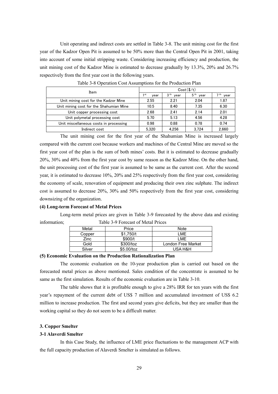Unit operating and indirect costs are settled in Table 3-8. The unit mining cost for the first year of the Kadzor Open Pit is assumed to be 50% more than the Central Open Pit in 2001, taking into account of some initial stripping waste. Considering increasing efficiency and production, the unit mining cost of the Kadzor Mine is estimated to decrease gradually by 13.3%, 20% and 26.7% respectively from the first year cost in the following years.

| Item                                    | $Cost(\frac{s}{t})$ |                         |                         |              |  |  |
|-----------------------------------------|---------------------|-------------------------|-------------------------|--------------|--|--|
|                                         | 1 st<br>vear        | 3 <sup>th</sup><br>vear | 5 <sup>th</sup><br>year | 7 th<br>year |  |  |
| Unit mining cost for the Kadzor Mine    | 2.55                | 2.21                    | 2.04                    | 1.87         |  |  |
| Unit mining cost for the Shahumian Mine | 10.5                | 8.40                    | 7.35                    | 6.30         |  |  |
| Unit copper processing cost             | 2.68                | 2.41                    | 2.14                    | 2.01         |  |  |
| Unit polymetal processing cost          | 5.70                | 5.13                    | 4.56                    | 4.28         |  |  |
| Unit miscellaneous costs in processing  | 0.98                | 0.88                    | 0.78                    | 0.74         |  |  |
| Indirect cost                           | 5.320               | 4.256                   | 3.724                   | 2.660        |  |  |

Table 3-8 Operation Cost Assumptions for the Production Plan

The unit mining cost for the first year of the Shahumian Mine is increased largely compared with the current cost because workers and machines of the Central Mine are moved so the first year cost of the plan is the sum of both mines' costs. But it is estimated to decrease gradually 20%, 30% and 40% from the first year cost by same reason as the Kadzor Mine. On the other hand, the unit processing cost of the first year is assumed to be same as the current cost. After the second year, it is estimated to decrease 10%, 20% and 25% respectively from the first year cost, considering the economy of scale, renovation of equipment and producing their own zinc sulphate. The indirect cost is assumed to decrease 20%, 30% and 50% respectively from the first year cost, considering downsizing of the organization.

#### **(4) Long-term Forecast of Metal Prices**

Long-term metal prices are given in Table 3-9 forecasted by the above data and existing information; Table 3-9 Forecast of Metal Prices

| Metal  | Price      | Note               |
|--------|------------|--------------------|
| Copper | \$1.750/t  | I MF               |
| Zinc.  | \$900/t    | I MF               |
| Gold   | \$300/toz  | London Free Market |
| Silver | \$5.00/toz | USA H&H            |

# **(5) Economic Evaluation on the Production Rationalization Plan**

The economic evaluation on the 10-year production plan is carried out based on the forecasted metal prices as above mentioned. Sales condition of the concentrate is assumed to be same as the first simulation. Results of the economic evaluation are in Table 3-10.

The table shows that it is profitable enough to give a 28% IRR for ten years with the first year's repayment of the current debt of US\$ 7 million and accumulated investment of US\$ 6.2 million to increase production. The first and second years give deficits, but they are smaller than the working capital so they do not seem to be a difficult matter.

#### **3. Copper Smelter**

#### **3-1 Alaverdi Smelter**

In this Case Study, the influence of LME price fluctuations to the management ACP with the full capacity production of Alaverdi Smelter is simulated as follows.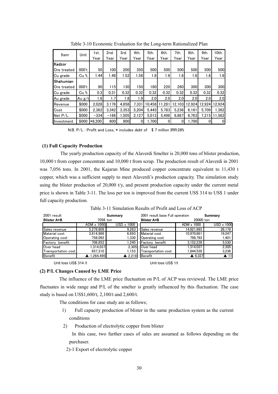|          | 1st.   | 2nd.   | 3rd.  | 4th.  | 5th.   | 6th.   | 7th.       | 8th.  | 9th.   | 10th.                    |
|----------|--------|--------|-------|-------|--------|--------|------------|-------|--------|--------------------------|
|          | Year   | Year   | Year  | Year  | Year   | Year   | Year       | Year  | Year   | Year                     |
|          |        |        |       |       |        |        |            |       |        |                          |
| 000't    | 50     | 100    | 200   | 350   | 500    | 500    | 500        | 500   | 500    | 500                      |
| Cu %     | 1.44   | 1.48   | 1.52  | 1.56  | 1.6    | 1.6    | 1.6        | 1.6   | 1.6    | 1.6                      |
|          |        |        |       |       |        |        |            |       |        |                          |
| 000't    | 90     | 115    | 130   | 150   | 180    | 220    | <b>260</b> | 300   | 300    | 300                      |
| Cu %     | 0.3    | 0.31   | 0.32  | 0.32  | 0.32   | 0.32   | 0.32       | 0.32  | 0.32   | 0.32                     |
| Au $g/t$ | 1.6    | 1.7    | 1.8   | 1.9   | 2.0    | 2.0    |            | 2.0   | 2.0    | 2.0                      |
| \$000    | 2.028  | 3.176  | 4.858 | 7.331 | 10.458 | 11.281 |            |       | 12.924 | 12.924                   |
| \$000    | 2.362  | 3.342  | 3.353 | 5.204 | 5.445  | 5.783  | 5.236      | 6.161 | 5.709  | 1.362                    |
| \$000    | $-334$ | $-166$ | 1.505 | 2.127 | 5,013  | 5.498  | 6,867      |       | 7.215  | 11.562                   |
| \$000    |        | 600    | 900   | 0     | 1,700  | 0      | 0          |       | 0      | $\mathbf{0}$             |
|          | Unit   | *8.200 |       |       |        |        |            | 2.0   | 12.103 | 12.924<br>6,763<br>1,700 |

Table 3-10 Economic Evaluation for the Long-term Rationalized Plan

N.B. P/L : Profit and Loss, \* includes debt of \$ 7 million IRR:28%

#### **(1) Full Capacity Production**

The yearly production capacity of the Alaverdi Smelter is 20,000 tons of blister production, 10,000 t from copper concentrate and 10,000 t from scrap. The production result of Alaverdi in 2001 was 7,056 tons. In 2001, the Kajaran Mine produced copper concentrate equivalent to 11,430 t copper, which was a sufficient supply to meet Alaverdi's production capacity. The simulation study using the blister production of 20,000 t/y, and present production capacity under the current metal price is shown in Table 3-11. The loss per ton is improved from the current US\$ 314 to US\$ 1 under full capacity production.

| 2001 result         | Summary           |                   | 2001 result base Full operation |                   | Summary             |  |
|---------------------|-------------------|-------------------|---------------------------------|-------------------|---------------------|--|
| <b>Blister A+B</b>  | 7056 ton          |                   | <b>Blister A+B</b>              | 20000 ton         |                     |  |
|                     | $ADM \times 1000$ | $USD \times 1000$ |                                 | $ADM \times 1000$ | <b>USD x 1000</b>   |  |
| Sales revenue       | 5.279.809         | 9.263             | Sales revenue                   | 14.921.693        | 26,178              |  |
| Material cost       | 3.814.866         | 6.693             | Material cost                   | 10.970.661        | 19.247              |  |
| Operating cost      | 758,092           | 1,330             | Operating cost                  | 798,793           | 1,401               |  |
| Factory benefit     | 706.852           | 1.240             | Factory benefit                 | 3.152.239         | 5,530               |  |
| Over head           | 1.314.037         | 2.305             | Over head                       | 1.314.037         | 2,305               |  |
| Transportation cost | 657,310           | 1.153             | Transportation cost             | 1.844.539         | 3,236               |  |
| Benefit             | ▲ 1,264,495       | $\triangle$ 2,218 | Benefit                         | $\triangle$ 6,337 | $\blacktriangle$ 11 |  |
|                     |                   |                   |                                 |                   |                     |  |

Table 3-11 Simulation Results of Profit and Loss of ACP

Unit loss US\$ 314 /t Unit loss US\$ 1/t

# **(2) P/L Changes Caused by LME Price**

The influence of the LME price fluctuation on P/L of ACP was reviewed. The LME price fluctuates in wide range and P/L of the smelter is greatly influenced by this fluctuation. The case study is based on US\$1,600/t, 2,100/t and 2,600/t.

The conditions for case study are as follows;

- 1) Full capacity production of blister in the same production system as the current conditions
- 2) Production of electrolytic copper from blister

In this case, two further cases of sales are assumed as follows depending on the purchaser.

2)-1 Export of electrolytic copper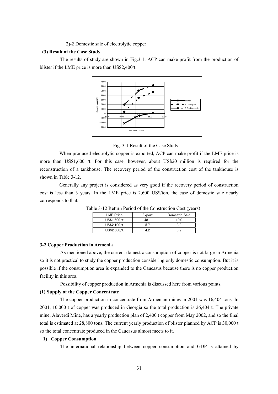2)-2 Domestic sale of electrolytic copper

# **(3) Result of the Case Study**

The results of study are shown in Fig.3-1. ACP can make profit from the production of blister if the LME price is more than US\$2,400/t.



Fig. 3-1 Result of the Case Study

When produced electrolytic copper is exported. ACP can make profit if the LME price is more than US\$1,600 /t. For this case, however, about US\$20 million is required for the reconstruction of a tankhouse. The recovery period of the construction cost of the tankhouse is shown in Table 3-12.

Generally any project is considered as very good if the recovery period of construction cost is less than 3 years. In the LME price is 2,600 US\$/ton, the case of domestic sale nearly corresponds to that.

| <b>LME</b> Price | Export | Domestic Sale |
|------------------|--------|---------------|
| US\$1,600/t      | 48.1   | 10.0          |
| US\$2.100/t      | 5.     | 3.9           |
| US\$2,600/t      | ני ו   | 39            |

Table 3-12 Return Period of the Construction Cost (years)

#### **3-2 Copper Production in Armenia**

As mentioned above, the current domestic consumption of copper is not large in Armenia so it is not practical to study the copper production considering only domestic consumption. But it is possible if the consumption area is expanded to the Caucasus because there is no copper production facility in this area.

Possibility of copper production in Armenia is discussed here from various points.

# **(1) Supply of the Copper Concentrate**

The copper production in concentrate from Armenian mines in 2001 was 16,404 tons. In 2001, 10,000 t of copper was produced in Georgia so the total production is 26,404 t. The private mine, Alaverdi Mine, has a yearly production plan of 2,400 t copper from May 2002, and so the final total is estimated at 28,800 tons. The current yearly production of blister planned by ACP is 30,000 t so the total concentrate produced in the Caucasus almost meets to it.

# **1) Copper Consumption**

The international relationship between copper consumption and GDP is attained by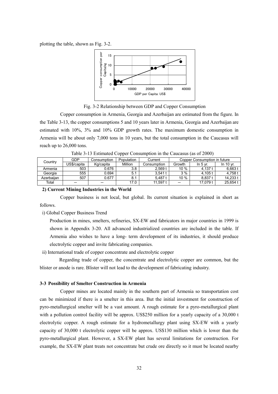plotting the table, shown as Fig. 3-2.



Fig. 3-2 Relationship between GDP and Copper Consumption

Copper consumption in Armenia, Georgia and Azerbaijan are estimated from the figure. In the Table 3-13, the copper consumptions 5 and 10 years later in Armenia, Georgia and Azerbaijan are estimated with 10%, 3% and 10% GDP growth rates. The maximum domestic consumption in Armenia will be about only 7,000 tons in 10 years, but the total consumption in the Caucasus will reach up to 26,000 tons.

Table 3-13 Estimated Copper Consumption in the Caucasus (as of 2000)

| Country    | GDP         | Consumption | Population | Current     |         | Copper Consumption in future |           |
|------------|-------------|-------------|------------|-------------|---------|------------------------------|-----------|
|            | US\$/capita | Kg/capita   | Million    | Consumption | Growth  | In 5 $vr$ .                  | In 10 vr. |
| Armenia    | 503         | 0.676       | 3.8        | 2.569t      | $10 \%$ | 4.137 t                      | 6.663t    |
| Georgia    | 555         | 0.694       | 5.1        | 3.541t      | 3%      | 4.105 t                      | 4.758     |
| Azerbaiian | 507         | 0.677       | 8.1        | 5.487 t     | 10 %    | 8.837 t                      | 14.2331   |
| Total      |             |             | 17.0       | 11.597 t    |         | 17.079 t                     | 25.6541   |
|            |             |             |            |             |         |                              |           |

# **2) Current Mining Industries in the World**

Copper business is not local, but global. Its current situation is explained in short as follows.

i) Global Copper Business Trend

Production in mines, smelters, refineries, SX-EW and fabricators in major countries in 1999 is shown in Appendix 3-20. All advanced industrialized countries are included in the table. If Armenia also wishes to have a long- term development of its industries, it should produce electrolytic copper and invite fabricating companies.

ii) International trade of copper concentrate and electrolytic copper

Regarding trade of copper, the concentrate and electrolytic copper are common, but the blister or anode is rare. Blister will not lead to the development of fabricating industry.

# **3-3 Possibility of Smelter Construction in Armenia**

Copper mines are located mainly in the southern part of Armenia so transportation cost can be minimized if there is a smelter in this area. But the initial investment for construction of pyro-metallurgical smelter will be a vast amount. A rough estimate for a pyro-metallurgical plant with a pollution control facility will be approx. US\$250 million for a yearly capacity of a 30,000 t electrolytic copper. A rough estimate for a hydrometallurgy plant using SX-EW with a yearly capacity of 30,000 t electrolytic copper will be approx. US\$130 million which is lower than the pyro-metallurgical plant. However, a SX-EW plant has several limitations for construction. For example, the SX-EW plant treats not concentrate but crude ore directly so it must be located nearby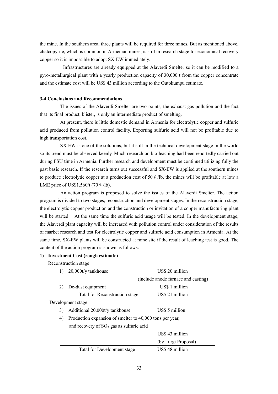the mine. In the southern area, three plants will be required for three mines. But as mentioned above, chalcopyrite, which is common in Armenian mines, is still in research stage for economical recovery copper so it is impossible to adopt SX-EW immediately.

Infrastructures are already equipped at the Alaverdi Smelter so it can be modified to a pyro-metallurgical plant with a yearly production capacity of 30,000 t from the copper concentrate and the estimate cost will be US\$ 43 million according to the Outokumpu estimate.

# **3-4 Conclusions and Recommendations**

The issues of the Alaverdi Smelter are two points, the exhaust gas pollution and the fact that its final product, blister, is only an intermediate product of smelting.

At present, there is little domestic demand in Armenia for electrolytic copper and sulfuric acid produced from pollution control facility. Exporting sulfuric acid will not be profitable due to high transportation cost.

SX-EW is one of the solutions, but it still in the technical development stage in the world so its trend must be observed keenly. Much research on bio-leaching had been reportedly carried out during FSU time in Armenia. Further research and development must be continued utilizing fully the past basic research. If the research turns out successful and SX-EW is applied at the southern mines to produce electrolytic copper at a production cost of 50  $\ell$  /lb, the mines will be profitable at low a LME price of US\$1,560/t  $(70 \notin$  /lb).

An action program is proposed to solve the issues of the Alaverdi Smelter. The action program is divided to two stages, reconstruction and development stages. In the reconstruction stage, the electrolytic copper production and the construction or invitation of a copper manufacturing plant will be started. At the same time the sulfuric acid usage will be tested. In the development stage, the Alaverdi plant capacity will be increased with pollution control under consideration of the results of market research and test for electrolytic copper and sulfuric acid consumption in Armenia. At the same time, SX-EW plants will be constructed at mine site if the result of leaching test is good. The content of the action program is shown as follows:

# **1) Investment Cost (rough estimate)**

Reconstruction stage

|    | 20,000t/y tankhouse                                      | US\$ 20 million                     |
|----|----------------------------------------------------------|-------------------------------------|
|    |                                                          | (include anode furnace and casting) |
| 2) | De-dust equipment                                        | US\$ 1 million                      |
|    | Total for Reconstruction stage                           | US\$ 21 million                     |
|    | Development stage                                        |                                     |
| 3) | Additional 20,000t/y tankhouse                           | US\$ 5 million                      |
| 4) | Production expansion of smelter to 40,000 tons per year, |                                     |
|    | and recovery of $SO_2$ gas as sulfuric acid              |                                     |
|    |                                                          | US\$ 43 million                     |
|    |                                                          | (by Lurgi Proposal)                 |
|    | Total for Development stage                              | US\$ 48 million                     |
|    |                                                          |                                     |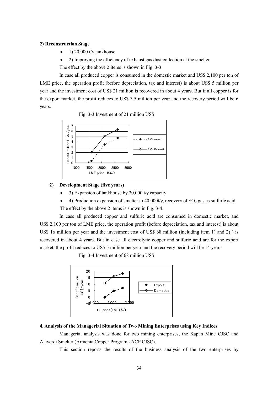# **2) Reconstruction Stage**

- $\bullet$  1) 20,000 t/y tankhouse
- 2) Improving the efficiency of exhaust gas dust collection at the smelter

The effect by the above 2 items is shown in Fig. 3-3

In case all produced copper is consumed in the domestic market and US\$ 2,100 per ton of LME price, the operation profit (before depreciation, tax and interest) is about US\$ 5 million per year and the investment cost of US\$ 21 million is recovered in about 4 years. But if all copper is for the export market, the profit reduces to US\$ 3.5 million per year and the recovery period will be 6 years.





# **2) Development Stage (five years)**

- 3) Expansion of tankhouse by 20,000 t/y capacity
- 4) Production expansion of smelter to  $40,000$ t/y, recovery of SO<sub>2</sub> gas as sulfuric acid The effect by the above 2 items is shown in Fig. 3-4.

In case all produced copper and sulfuric acid are consumed in domestic market, and US\$ 2,100 per ton of LME price, the operation profit (before depreciation, tax and interest) is about US\$ 16 million per year and the investment cost of US\$ 68 million (including item 1) and 2) ) is recovered in about 4 years. But in case all electrolytic copper and sulfuric acid are for the export market, the profit reduces to US\$ 5 million per year and the recovery period will be 14 years.

Fig. 3-4 Investment of 68 million US\$



# **4. Analysis of the Managerial Situation of Two Mining Enterprises using Key Indices**

Managerial analysis was done for two mining enterprises, the Kapan Mine CJSC and Alaverdi Smelter (Armenia Copper Program - ACP CJSC).

This section reports the results of the business analysis of the two enterprises by